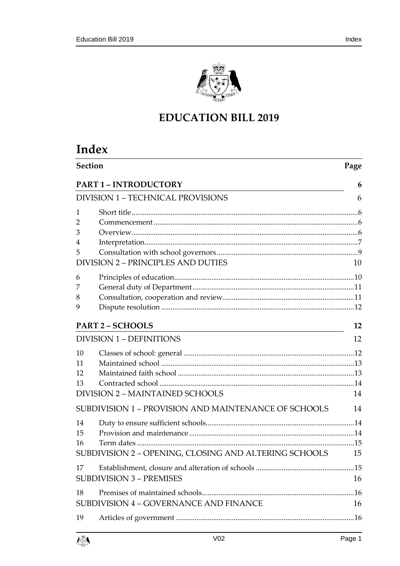

# **EDUCATION BILL 2019**

# **Index**

| Section                                                                 |    |
|-------------------------------------------------------------------------|----|
| <b>PART 1 - INTRODUCTORY</b>                                            | 6  |
| <b>DIVISION 1 - TECHNICAL PROVISIONS</b>                                |    |
| 1<br>2                                                                  |    |
| 3<br>4                                                                  |    |
| 5<br><b>VISION 2 - PRINCIPLES AND DUTIES</b>                            | 10 |
| 6<br>7<br>8<br>9                                                        |    |
| <b>PART 2 - SCHOOLS</b>                                                 | 12 |
| <b>DIVISION 1 - DEFINITIONS</b>                                         | 12 |
| 10<br>11<br>12<br>13<br>DIVISION 2 - MAINTAINED SCHOOLS                 | 14 |
| SUBDIVISION 1 - PROVISION AND MAINTENANCE OF SCHOOLS                    | 14 |
| 14<br>15<br>16<br>SUBDIVISION 2 - OPENING, CLOSING AND ALTERING SCHOOLS | 15 |
| 17<br><b>SUBDIVISION 3 - PREMISES</b>                                   | 16 |
| 18<br>SUBDIVISION 4 - GOVERNANCE AND FINANCE                            | 16 |
| 19                                                                      |    |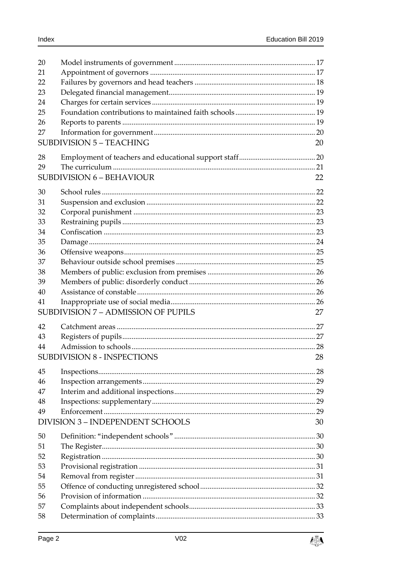$\int_{\mathbb{R}} \frac{d\mathbf{y}}{d\mathbf{y}}$ 

| 20 |                                         |    |
|----|-----------------------------------------|----|
| 21 |                                         |    |
| 22 |                                         |    |
| 23 |                                         |    |
| 24 |                                         |    |
| 25 |                                         |    |
| 26 |                                         |    |
| 27 |                                         |    |
|    | <b>SUBDIVISION 5 - TEACHING</b>         | 20 |
| 28 |                                         |    |
| 29 |                                         |    |
|    | <b>SUBDIVISION 6 - BEHAVIOUR</b>        | 22 |
| 30 |                                         |    |
| 31 |                                         |    |
| 32 |                                         |    |
| 33 |                                         |    |
| 34 |                                         |    |
| 35 |                                         |    |
| 36 |                                         |    |
| 37 |                                         |    |
| 38 |                                         |    |
| 39 |                                         |    |
| 40 |                                         |    |
| 41 |                                         |    |
|    | SUBDIVISION 7 - ADMISSION OF PUPILS     | 27 |
| 42 |                                         |    |
| 43 |                                         |    |
| 44 |                                         |    |
|    | SUBDIVISION 8 - INSPECTIONS             | 28 |
| 45 |                                         |    |
| 46 |                                         |    |
| 47 |                                         |    |
| 48 |                                         |    |
| 49 |                                         |    |
|    | <b>DIVISION 3 - INDEPENDENT SCHOOLS</b> | 30 |
| 50 |                                         |    |
| 51 |                                         |    |
| 52 |                                         |    |
| 53 |                                         |    |
| 54 |                                         |    |
| 55 |                                         |    |
| 56 |                                         |    |
| 57 |                                         |    |
| 58 |                                         |    |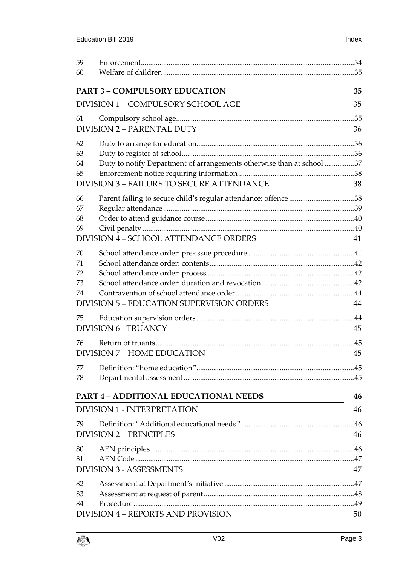| 59<br>60                                |                                                                       |    |
|-----------------------------------------|-----------------------------------------------------------------------|----|
|                                         |                                                                       |    |
|                                         | <b>PART 3 - COMPULSORY EDUCATION</b>                                  | 35 |
| DIVISION 1 - COMPULSORY SCHOOL AGE      |                                                                       | 35 |
| 61<br><b>DIVISION 2 - PARENTAL DUTY</b> |                                                                       | 36 |
| 62                                      |                                                                       |    |
| 63                                      |                                                                       |    |
| 64                                      | Duty to notify Department of arrangements otherwise than at school 37 |    |
| 65                                      |                                                                       |    |
|                                         | <b>DIVISION 3-FAILURE TO SECURE ATTENDANCE</b>                        | 38 |
| 66                                      | Parent failing to secure child's regular attendance: offence 38       |    |
| 67                                      |                                                                       |    |
| 68                                      |                                                                       |    |
| 69                                      |                                                                       |    |
|                                         | DIVISION 4 - SCHOOL ATTENDANCE ORDERS                                 | 41 |
| 70                                      |                                                                       |    |
| 71                                      |                                                                       |    |
| 72                                      |                                                                       |    |
| 73                                      |                                                                       |    |
| 74                                      |                                                                       |    |
|                                         | <b>DIVISION 5 - EDUCATION SUPERVISION ORDERS</b>                      | 44 |
| 75                                      |                                                                       |    |
|                                         | <b>DIVISION 6 - TRUANCY</b>                                           | 45 |
| 76                                      |                                                                       |    |
|                                         | <b>DIVISION 7 - HOME EDUCATION</b>                                    |    |
| 77                                      |                                                                       |    |
| 78                                      |                                                                       |    |
|                                         |                                                                       |    |
|                                         | <b>PART 4 - ADDITIONAL EDUCATIONAL NEEDS</b>                          | 46 |
|                                         | <b>DIVISION 1 - INTERPRETATION</b>                                    | 46 |
| 79                                      |                                                                       |    |
|                                         | <b>DIVISION 2 - PRINCIPLES</b>                                        |    |
| 80                                      |                                                                       |    |
| 81                                      |                                                                       |    |
|                                         | <b>DIVISION 3 - ASSESSMENTS</b>                                       | 47 |
| 82                                      |                                                                       |    |
| 83                                      |                                                                       |    |
| 84                                      |                                                                       |    |
|                                         | DIVISION 4 – REPORTS AND PROVISION                                    | 50 |

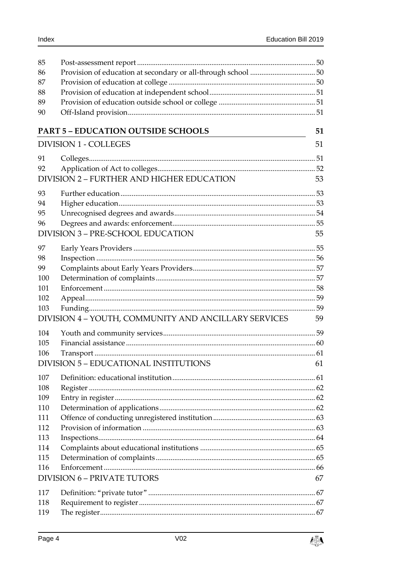| 85  |                                                      |    |
|-----|------------------------------------------------------|----|
| 86  |                                                      |    |
| 87  |                                                      |    |
| 88  |                                                      |    |
| 89  |                                                      |    |
| 90  |                                                      |    |
|     | <b>PART 5 - EDUCATION OUTSIDE SCHOOLS</b>            | 51 |
|     |                                                      |    |
|     | <b>DIVISION 1 - COLLEGES</b>                         | 51 |
| 91  |                                                      |    |
| 92  |                                                      |    |
|     | DIVISION 2 - FURTHER AND HIGHER EDUCATION            | 53 |
| 93  |                                                      |    |
| 94  |                                                      |    |
| 95  |                                                      |    |
| 96  |                                                      |    |
|     | <b>DIVISION 3 - PRE-SCHOOL EDUCATION</b>             | 55 |
| 97  |                                                      |    |
| 98  |                                                      |    |
| 99  |                                                      |    |
| 100 |                                                      |    |
| 101 |                                                      |    |
| 102 |                                                      |    |
| 103 |                                                      |    |
|     | DIVISION 4 - YOUTH, COMMUNITY AND ANCILLARY SERVICES | 59 |
| 104 |                                                      |    |
| 105 |                                                      |    |
| 106 |                                                      |    |
|     | DIVISION 5 - EDUCATIONAL INSTITUTIONS                | 61 |
| 107 |                                                      |    |
| 108 |                                                      |    |
| 109 |                                                      |    |
| 110 |                                                      |    |
| 111 |                                                      |    |
| 112 |                                                      |    |
| 113 |                                                      |    |
| 114 |                                                      |    |
| 115 |                                                      |    |
| 116 |                                                      |    |
|     | <b>DIVISION 6 - PRIVATE TUTORS</b>                   | 67 |
| 117 |                                                      |    |
| 118 |                                                      |    |
| 119 |                                                      |    |

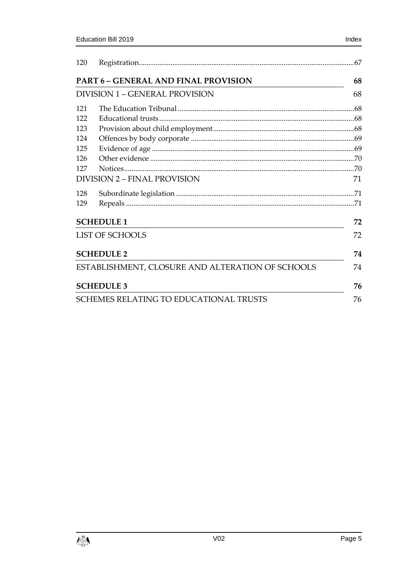| 120 |                                                  |    |  |
|-----|--------------------------------------------------|----|--|
|     | <b>PART 6 - GENERAL AND FINAL PROVISION</b>      | 68 |  |
|     | DIVISION 1 – GENERAL PROVISION                   |    |  |
| 121 |                                                  |    |  |
| 122 |                                                  |    |  |
| 123 |                                                  |    |  |
| 124 |                                                  |    |  |
| 125 |                                                  |    |  |
| 126 |                                                  |    |  |
| 127 |                                                  |    |  |
|     | <b>DIVISION 2 - FINAL PROVISION</b>              | 71 |  |
| 128 |                                                  |    |  |
| 129 |                                                  |    |  |
|     | <b>SCHEDULE 1</b>                                |    |  |
|     | <b>LIST OF SCHOOLS</b>                           | 72 |  |
|     | <b>SCHEDULE 2</b>                                | 74 |  |
|     | ESTABLISHMENT, CLOSURE AND ALTERATION OF SCHOOLS | 74 |  |
|     | <b>SCHEDULE 3</b>                                | 76 |  |
|     | <b>SCHEMES RELATING TO EDUCATIONAL TRUSTS</b>    | 76 |  |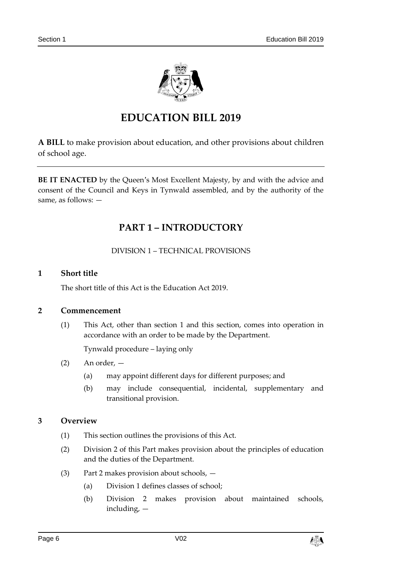

# **EDUCATION BILL 2019**

**A BILL** to make provision about education, and other provisions about children of school age.

<span id="page-5-0"></span>**BE IT ENACTED** by the Queen's Most Excellent Majesty, by and with the advice and consent of the Council and Keys in Tynwald assembled, and by the authority of the same, as follows: —

# **PART 1 – INTRODUCTORY**

DIVISION 1 – TECHNICAL PROVISIONS

# <span id="page-5-2"></span><span id="page-5-1"></span>**1 Short title**

The short title of this Act is the Education Act 2019.

# <span id="page-5-3"></span>**2 Commencement**

(1) This Act, other than section [1](#page-5-2) and this section, comes into operation in accordance with an order to be made by the Department.

Tynwald procedure – laying only

- (2) An order,
	- (a) may appoint different days for different purposes; and
	- (b) may include consequential, incidental, supplementary and transitional provision.

# <span id="page-5-4"></span>**3 Overview**

- (1) This section outlines the provisions of this Act.
- (2) Division 2 of this Part makes provision about the principles of education and the duties of the Department.
- (3) Part 2 makes provision about schools,
	- (a) Division 1 defines classes of school;
	- (b) Division 2 makes provision about maintained schools, including, —

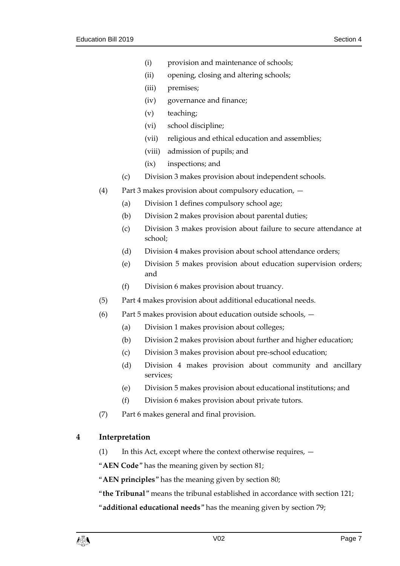- (i) provision and maintenance of schools;
- (ii) opening, closing and altering schools;
- (iii) premises;
- (iv) governance and finance;
- (v) teaching;
- (vi) school discipline;
- (vii) religious and ethical education and assemblies;
- (viii) admission of pupils; and
- (ix) inspections; and
- (c) Division 3 makes provision about independent schools.
- (4) Part 3 makes provision about compulsory education,
	- (a) Division 1 defines compulsory school age;
	- (b) Division 2 makes provision about parental duties;
	- (c) Division 3 makes provision about failure to secure attendance at school;
	- (d) Division 4 makes provision about school attendance orders;
	- (e) Division 5 makes provision about education supervision orders; and
	- (f) Division 6 makes provision about truancy.
- (5) Part 4 makes provision about additional educational needs.
- (6) Part 5 makes provision about education outside schools,  $-$ 
	- (a) Division 1 makes provision about colleges;
	- (b) Division 2 makes provision about further and higher education;
	- (c) Division 3 makes provision about pre-school education;
	- (d) Division 4 makes provision about community and ancillary services;
	- (e) Division 5 makes provision about educational institutions; and
	- (f) Division 6 makes provision about private tutors.
- (7) Part 6 makes general and final provision.

# <span id="page-6-0"></span>**4 Interpretation**

(1) In this Act, except where the context otherwise requires, —

"**AEN Code**" has the meaning given by section [81;](#page-46-0)

"**AEN principles**" has the meaning given by section [80;](#page-45-4)

"**the Tribunal**" means the tribunal established in accordance with section [121;](#page-67-2)

"**additional educational needs**" has the meaning given by section [79;](#page-45-2)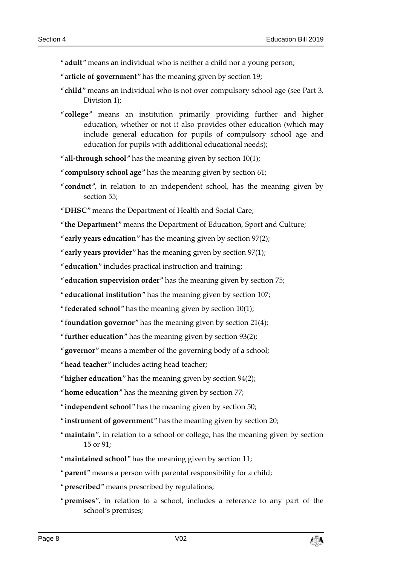"**adult**" means an individual who is neither a child nor a young person;

- "**article of government**" has the meaning given by section [19;](#page-15-3)
- "**child**" means an individual who is not over compulsory school age (see Part 3, Division 1);
- "**college**" means an institution primarily providing further and higher education, whether or not it also provides other education (which may include general education for pupils of compulsory school age and education for pupils with additional educational needs);

"**all-through school**" has the meaning given by section [10\(1\);](#page-11-4)

"**compulsory school age**" has the meaning given by section [61;](#page-34-3)

"**conduct**", in relation to an independent school, has the meaning given by section [55;](#page-31-0)

"**DHSC**" means the Department of Health and Social Care;

"**the Department**" means the Department of Education, Sport and Culture;

"**early years education**" has the meaning given by section [97\(2\);](#page-54-3)

"**early years provider**" has the meaning given by section [97\(1\);](#page-54-4)

"**education**" includes practical instruction and training;

"**education supervision order**" has the meaning given by section [75;](#page-43-2)

"**educational institution**" has the meaning given by section [107;](#page-60-2)

"**federated school**" has the meaning given by section [10\(1\);](#page-11-4)

"**foundation governor**" has the meaning given by section [21\(4\);](#page-17-1)

"**further education**" has the meaning given by section [93\(2\);](#page-52-3)

"**governor**" means a member of the governing body of a school;

"**head teacher**" includes acting head teacher;

"**higher education**" has the meaning given by section [94\(2\);](#page-52-4)

"**home education**" has the meaning given by section [77;](#page-44-3)

"**independent school**" has the meaning given by section [50;](#page-29-1)

"**instrument of government**" has the meaning given by section [20;](#page-16-0)

"**maintain**", in relation to a school or college, has the meaning given by section [15](#page-13-4) or [91;](#page-50-5)

"**maintained school**" has the meaning given by section [11;](#page-12-0)

"**parent**" means a person with parental responsibility for a child;

"**prescribed**" means prescribed by regulations;

"**premises**", in relation to a school, includes a reference to any part of the school's premises;

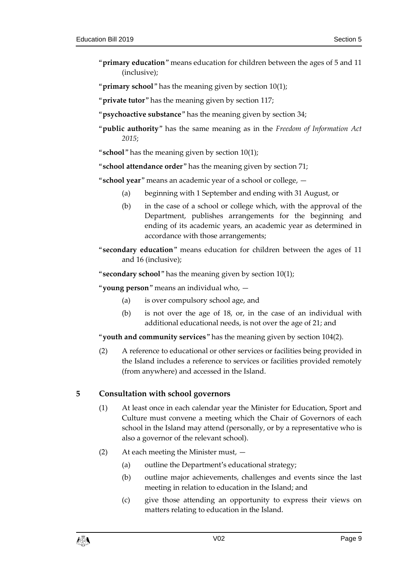"**primary education**" means education for children between the ages of 5 and 11 (inclusive);

"**primary school**" has the meaning given by section [10\(1\);](#page-11-4)

"**private tutor**" has the meaning given by section [117;](#page-66-1)

- "**psychoactive substance**" has the meaning given by section [34;](#page-22-2)
- "**public authority**" has the same meaning as in the *Freedom of Information Act 2015*;

"**school**" has the meaning given by section [10\(1\);](#page-11-4)

"**school attendance order**" has the meaning given by section [71;](#page-41-0)

"**school year**" means an academic year of a school or college, —

- (a) beginning with 1 September and ending with 31 August, or
- (b) in the case of a school or college which, with the approval of the Department, publishes arrangements for the beginning and ending of its academic years, an academic year as determined in accordance with those arrangements;
- "**secondary education**" means education for children between the ages of 11 and 16 (inclusive);
- "**secondary school**" has the meaning given by section [10\(1\);](#page-11-4)

"**young person**" means an individual who, —

- (a) is over compulsory school age, and
- (b) is not over the age of 18, or, in the case of an individual with additional educational needs, is not over the age of 21; and

"**youth and community services**" has the meaning given by section [104\(2\).](#page-58-4)

(2) A reference to educational or other services or facilities being provided in the Island includes a reference to services or facilities provided remotely (from anywhere) and accessed in the Island.

# <span id="page-8-0"></span>**5 Consultation with school governors**

- (1) At least once in each calendar year the Minister for Education, Sport and Culture must convene a meeting which the Chair of Governors of each school in the Island may attend (personally, or by a representative who is also a governor of the relevant school).
- (2) At each meeting the Minister must,
	- (a) outline the Department's educational strategy;
	- (b) outline major achievements, challenges and events since the last meeting in relation to education in the Island; and
	- (c) give those attending an opportunity to express their views on matters relating to education in the Island.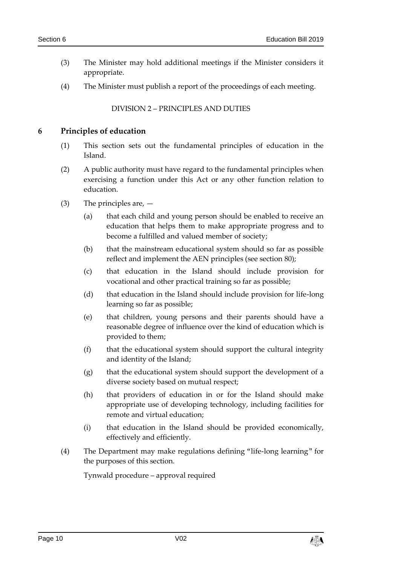- (3) The Minister may hold additional meetings if the Minister considers it appropriate.
- <span id="page-9-0"></span>(4) The Minister must publish a report of the proceedings of each meeting.

#### DIVISION 2 – PRINCIPLES AND DUTIES

#### <span id="page-9-1"></span>**6 Principles of education**

- (1) This section sets out the fundamental principles of education in the Island.
- (2) A public authority must have regard to the fundamental principles when exercising a function under this Act or any other function relation to education.
- (3) The principles are,
	- (a) that each child and young person should be enabled to receive an education that helps them to make appropriate progress and to become a fulfilled and valued member of society;
	- (b) that the mainstream educational system should so far as possible reflect and implement the AEN principles (see section [80\)](#page-45-4);
	- (c) that education in the Island should include provision for vocational and other practical training so far as possible;
	- (d) that education in the Island should include provision for life-long learning so far as possible;
	- (e) that children, young persons and their parents should have a reasonable degree of influence over the kind of education which is provided to them;
	- (f) that the educational system should support the cultural integrity and identity of the Island;
	- (g) that the educational system should support the development of a diverse society based on mutual respect;
	- (h) that providers of education in or for the Island should make appropriate use of developing technology, including facilities for remote and virtual education;
	- (i) that education in the Island should be provided economically, effectively and efficiently.
- (4) The Department may make regulations defining "life-long learning" for the purposes of this section.

Tynwald procedure – approval required

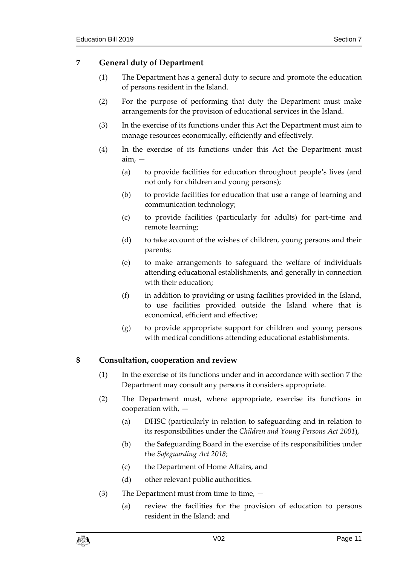# <span id="page-10-0"></span>**7 General duty of Department**

- (1) The Department has a general duty to secure and promote the education of persons resident in the Island.
- (2) For the purpose of performing that duty the Department must make arrangements for the provision of educational services in the Island.
- (3) In the exercise of its functions under this Act the Department must aim to manage resources economically, efficiently and effectively.
- (4) In the exercise of its functions under this Act the Department must aim, —
	- (a) to provide facilities for education throughout people's lives (and not only for children and young persons);
	- (b) to provide facilities for education that use a range of learning and communication technology;
	- (c) to provide facilities (particularly for adults) for part-time and remote learning;
	- (d) to take account of the wishes of children, young persons and their parents;
	- (e) to make arrangements to safeguard the welfare of individuals attending educational establishments, and generally in connection with their education;
	- (f) in addition to providing or using facilities provided in the Island, to use facilities provided outside the Island where that is economical, efficient and effective;
	- (g) to provide appropriate support for children and young persons with medical conditions attending educational establishments.

# <span id="page-10-1"></span>**8 Consultation, cooperation and review**

- (1) In the exercise of its functions under and in accordance with section [7](#page-10-0) the Department may consult any persons it considers appropriate.
- (2) The Department must, where appropriate, exercise its functions in cooperation with, —
	- (a) DHSC (particularly in relation to safeguarding and in relation to its responsibilities under the *Children and Young Persons Act 2001*),
	- (b) the Safeguarding Board in the exercise of its responsibilities under the *Safeguarding Act 2018*;
	- (c) the Department of Home Affairs, and
	- (d) other relevant public authorities.
- (3) The Department must from time to time,  $-$ 
	- (a) review the facilities for the provision of education to persons resident in the Island; and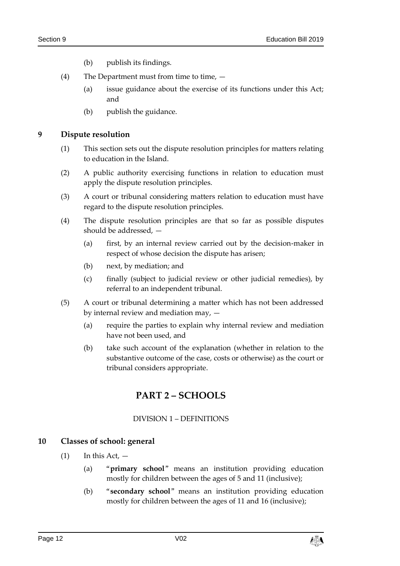- (b) publish its findings.
- (4) The Department must from time to time,  $-$ 
	- (a) issue guidance about the exercise of its functions under this Act; and
	- (b) publish the guidance.

# <span id="page-11-0"></span>**9 Dispute resolution**

- (1) This section sets out the dispute resolution principles for matters relating to education in the Island.
- (2) A public authority exercising functions in relation to education must apply the dispute resolution principles.
- (3) A court or tribunal considering matters relation to education must have regard to the dispute resolution principles.
- (4) The dispute resolution principles are that so far as possible disputes should be addressed, —
	- (a) first, by an internal review carried out by the decision-maker in respect of whose decision the dispute has arisen;
	- (b) next, by mediation; and
	- (c) finally (subject to judicial review or other judicial remedies), by referral to an independent tribunal.
- (5) A court or tribunal determining a matter which has not been addressed by internal review and mediation may, —
	- (a) require the parties to explain why internal review and mediation have not been used, and
	- (b) take such account of the explanation (whether in relation to the substantive outcome of the case, costs or otherwise) as the court or tribunal considers appropriate.

# **PART 2 – SCHOOLS**

# DIVISION 1 – DEFINITIONS

# <span id="page-11-4"></span><span id="page-11-3"></span><span id="page-11-2"></span><span id="page-11-1"></span>**10 Classes of school: general**

- $(1)$  In this Act,  $-$ 
	- (a) "**primary school**" means an institution providing education mostly for children between the ages of 5 and 11 (inclusive);
	- (b) "**secondary school**" means an institution providing education mostly for children between the ages of 11 and 16 (inclusive);

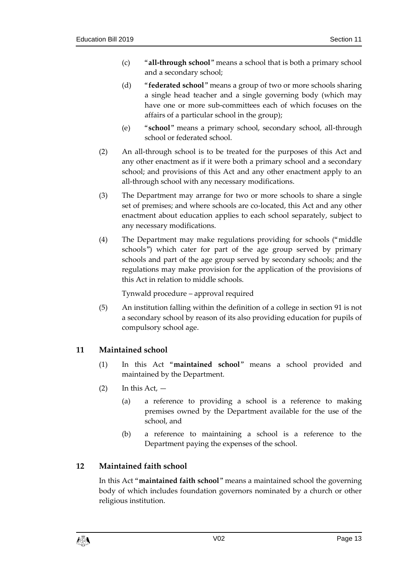- (c) "**all-through school**" means a school that is both a primary school and a secondary school;
- (d) "**federated school**" means a group of two or more schools sharing a single head teacher and a single governing body (which may have one or more sub-committees each of which focuses on the affairs of a particular school in the group);
- (e) "**school**" means a primary school, secondary school, all-through school or federated school.
- (2) An all-through school is to be treated for the purposes of this Act and any other enactment as if it were both a primary school and a secondary school; and provisions of this Act and any other enactment apply to an all-through school with any necessary modifications.
- (3) The Department may arrange for two or more schools to share a single set of premises; and where schools are co-located, this Act and any other enactment about education applies to each school separately, subject to any necessary modifications.
- (4) The Department may make regulations providing for schools ("middle schools") which cater for part of the age group served by primary schools and part of the age group served by secondary schools; and the regulations may make provision for the application of the provisions of this Act in relation to middle schools.

Tynwald procedure – approval required

(5) An institution falling within the definition of a college in section [91](#page-50-5) is not a secondary school by reason of its also providing education for pupils of compulsory school age.

# <span id="page-12-0"></span>**11 Maintained school**

- (1) In this Act "**maintained school**" means a school provided and maintained by the Department.
- $(2)$  In this Act,  $-$ 
	- (a) a reference to providing a school is a reference to making premises owned by the Department available for the use of the school, and
	- (b) a reference to maintaining a school is a reference to the Department paying the expenses of the school.

# <span id="page-12-1"></span>**12 Maintained faith school**

In this Act "**maintained faith school**" means a maintained school the governing body of which includes foundation governors nominated by a church or other religious institution.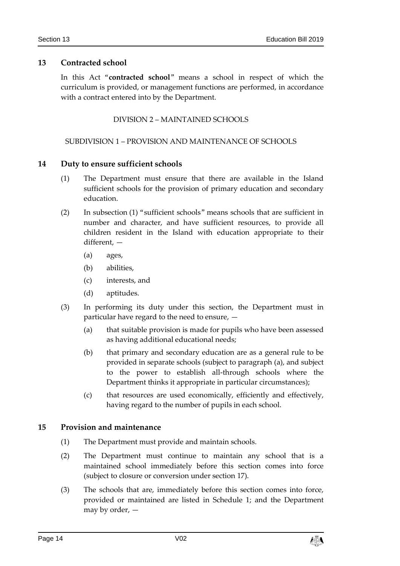# <span id="page-13-0"></span>**13 Contracted school**

<span id="page-13-1"></span>In this Act "**contracted school**" means a school in respect of which the curriculum is provided, or management functions are performed, in accordance with a contract entered into by the Department.

DIVISION 2 – MAINTAINED SCHOOLS

# <span id="page-13-2"></span>SUBDIVISION 1 – PROVISION AND MAINTENANCE OF SCHOOLS

# <span id="page-13-3"></span>**14 Duty to ensure sufficient schools**

- (1) The Department must ensure that there are available in the Island sufficient schools for the provision of primary education and secondary education.
- (2) In subsection (1) "sufficient schools" means schools that are sufficient in number and character, and have sufficient resources, to provide all children resident in the Island with education appropriate to their different, —
	- (a) ages,
	- (b) abilities,
	- (c) interests, and
	- (d) aptitudes.
- (3) In performing its duty under this section, the Department must in particular have regard to the need to ensure, —
	- (a) that suitable provision is made for pupils who have been assessed as having additional educational needs;
	- (b) that primary and secondary education are as a general rule to be provided in separate schools (subject to paragraph (a), and subject to the power to establish all-through schools where the Department thinks it appropriate in particular circumstances);
	- (c) that resources are used economically, efficiently and effectively, having regard to the number of pupils in each school.

# <span id="page-13-4"></span>**15 Provision and maintenance**

- (1) The Department must provide and maintain schools.
- (2) The Department must continue to maintain any school that is a maintained school immediately before this section comes into force (subject to closure or conversion under section [17\)](#page-14-2).
- (3) The schools that are, immediately before this section comes into force, provided or maintained are listed in Schedule 1; and the Department may by order, —

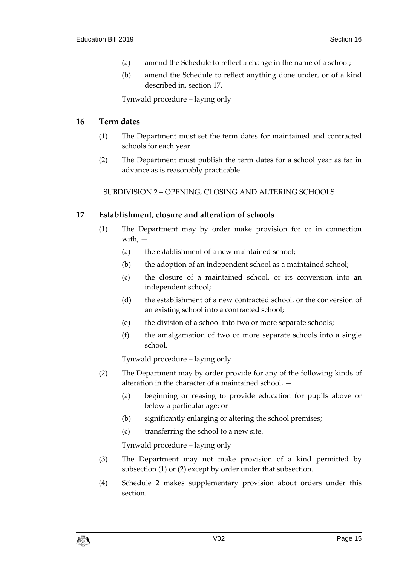- (a) amend the Schedule to reflect a change in the name of a school;
- (b) amend the Schedule to reflect anything done under, or of a kind described in, section [17.](#page-14-2)

Tynwald procedure – laying only

#### <span id="page-14-0"></span>**16 Term dates**

- (1) The Department must set the term dates for maintained and contracted schools for each year.
- <span id="page-14-1"></span>(2) The Department must publish the term dates for a school year as far in advance as is reasonably practicable.

SUBDIVISION 2 – OPENING, CLOSING AND ALTERING SCHOOLS

# <span id="page-14-2"></span>**17 Establishment, closure and alteration of schools**

- (1) The Department may by order make provision for or in connection with, —
	- (a) the establishment of a new maintained school;
	- (b) the adoption of an independent school as a maintained school;
	- (c) the closure of a maintained school, or its conversion into an independent school;
	- (d) the establishment of a new contracted school, or the conversion of an existing school into a contracted school;
	- (e) the division of a school into two or more separate schools;
	- (f) the amalgamation of two or more separate schools into a single school.

Tynwald procedure – laying only

- (2) The Department may by order provide for any of the following kinds of alteration in the character of a maintained school, —
	- (a) beginning or ceasing to provide education for pupils above or below a particular age; or
	- (b) significantly enlarging or altering the school premises;
	- (c) transferring the school to a new site.

Tynwald procedure – laying only

- (3) The Department may not make provision of a kind permitted by subsection (1) or (2) except by order under that subsection.
- (4) Schedule 2 makes supplementary provision about orders under this section.

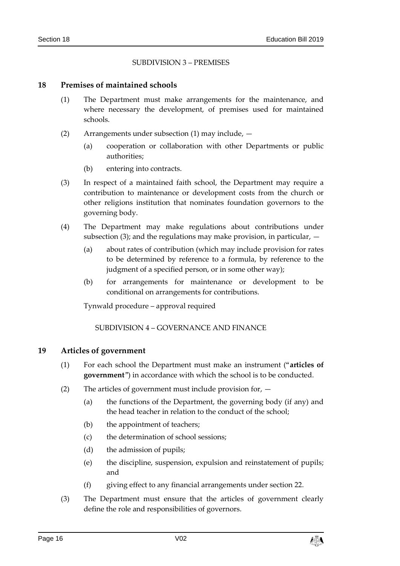# SUBDIVISION 3 – PREMISES

#### <span id="page-15-1"></span><span id="page-15-0"></span>**18 Premises of maintained schools**

- (1) The Department must make arrangements for the maintenance, and where necessary the development, of premises used for maintained schools.
- (2) Arrangements under subsection (1) may include,
	- (a) cooperation or collaboration with other Departments or public authorities;
	- (b) entering into contracts.
- (3) In respect of a maintained faith school, the Department may require a contribution to maintenance or development costs from the church or other religions institution that nominates foundation governors to the governing body.
- (4) The Department may make regulations about contributions under subsection (3); and the regulations may make provision, in particular,  $-$ 
	- (a) about rates of contribution (which may include provision for rates to be determined by reference to a formula, by reference to the judgment of a specified person, or in some other way);
	- (b) for arrangements for maintenance or development to be conditional on arrangements for contributions.

Tynwald procedure – approval required

SUBDIVISION 4 – GOVERNANCE AND FINANCE

#### <span id="page-15-3"></span><span id="page-15-2"></span>**19 Articles of government**

- (1) For each school the Department must make an instrument ("**articles of government**") in accordance with which the school is to be conducted.
- (2) The articles of government must include provision for,
	- (a) the functions of the Department, the governing body (if any) and the head teacher in relation to the conduct of the school;
	- (b) the appointment of teachers;
	- (c) the determination of school sessions;
	- (d) the admission of pupils;
	- (e) the discipline, suspension, expulsion and reinstatement of pupils; and
	- (f) giving effect to any financial arrangements under section [22.](#page-17-0)
- (3) The Department must ensure that the articles of government clearly define the role and responsibilities of governors.

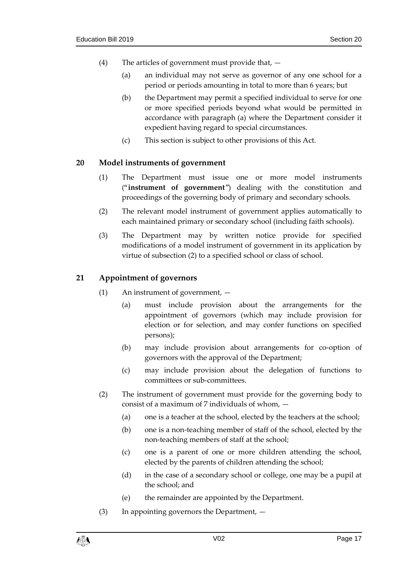- (4) The articles of government must provide that,
	- (a) an individual may not serve as governor of any one school for a period or periods amounting in total to more than 6 years; but
	- (b) the Department may permit a specified individual to serve for one or more specified periods beyond what would be permitted in accordance with paragraph (a) where the Department consider it expedient having regard to special circumstances.
	- (c) This section is subject to other provisions of this Act.

# <span id="page-16-0"></span>**20 Model instruments of government**

- (1) The Department must issue one or more model instruments ("**instrument of government**") dealing with the constitution and proceedings of the governing body of primary and secondary schools.
- (2) The relevant model instrument of government applies automatically to each maintained primary or secondary school (including faith schools).
- (3) The Department may by written notice provide for specified modifications of a model instrument of government in its application by virtue of subsection (2) to a specified school or class of school.

# <span id="page-16-1"></span>**21 Appointment of governors**

- (1) An instrument of government,
	- (a) must include provision about the arrangements for the appointment of governors (which may include provision for election or for selection, and may confer functions on specified persons);
	- (b) may include provision about arrangements for co-option of governors with the approval of the Department;
	- (c) may include provision about the delegation of functions to committees or sub-committees.
- (2) The instrument of government must provide for the governing body to consist of a maximum of 7 individuals of whom, —
	- (a) one is a teacher at the school, elected by the teachers at the school;
	- (b) one is a non-teaching member of staff of the school, elected by the non-teaching members of staff at the school;
	- (c) one is a parent of one or more children attending the school, elected by the parents of children attending the school;
	- (d) in the case of a secondary school or college, one may be a pupil at the school; and
	- (e) the remainder are appointed by the Department.
- (3) In appointing governors the Department, —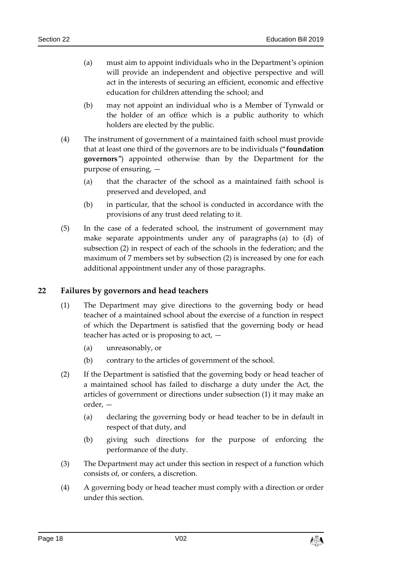- (a) must aim to appoint individuals who in the Department's opinion will provide an independent and objective perspective and will act in the interests of securing an efficient, economic and effective education for children attending the school; and
- (b) may not appoint an individual who is a Member of Tynwald or the holder of an office which is a public authority to which holders are elected by the public.
- <span id="page-17-1"></span>(4) The instrument of government of a maintained faith school must provide that at least one third of the governors are to be individuals ("**foundation governors**") appointed otherwise than by the Department for the purpose of ensuring, —
	- (a) that the character of the school as a maintained faith school is preserved and developed, and
	- (b) in particular, that the school is conducted in accordance with the provisions of any trust deed relating to it.
- (5) In the case of a federated school, the instrument of government may make separate appointments under any of paragraphs (a) to (d) of subsection (2) in respect of each of the schools in the federation; and the maximum of 7 members set by subsection (2) is increased by one for each additional appointment under any of those paragraphs.

# <span id="page-17-0"></span>**22 Failures by governors and head teachers**

- (1) The Department may give directions to the governing body or head teacher of a maintained school about the exercise of a function in respect of which the Department is satisfied that the governing body or head teacher has acted or is proposing to act, —
	- (a) unreasonably, or
	- (b) contrary to the articles of government of the school.
- (2) If the Department is satisfied that the governing body or head teacher of a maintained school has failed to discharge a duty under the Act, the articles of government or directions under subsection (1) it may make an order, —
	- (a) declaring the governing body or head teacher to be in default in respect of that duty, and
	- (b) giving such directions for the purpose of enforcing the performance of the duty.
- (3) The Department may act under this section in respect of a function which consists of, or confers, a discretion.
- (4) A governing body or head teacher must comply with a direction or order under this section.

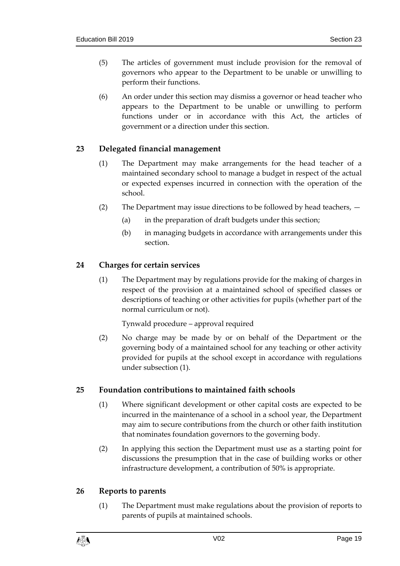- (5) The articles of government must include provision for the removal of governors who appear to the Department to be unable or unwilling to perform their functions.
- (6) An order under this section may dismiss a governor or head teacher who appears to the Department to be unable or unwilling to perform functions under or in accordance with this Act, the articles of government or a direction under this section.

# <span id="page-18-0"></span>**23 Delegated financial management**

- (1) The Department may make arrangements for the head teacher of a maintained secondary school to manage a budget in respect of the actual or expected expenses incurred in connection with the operation of the school.
- (2) The Department may issue directions to be followed by head teachers,
	- (a) in the preparation of draft budgets under this section;
	- (b) in managing budgets in accordance with arrangements under this section.

# <span id="page-18-1"></span>**24 Charges for certain services**

(1) The Department may by regulations provide for the making of charges in respect of the provision at a maintained school of specified classes or descriptions of teaching or other activities for pupils (whether part of the normal curriculum or not).

Tynwald procedure – approval required

(2) No charge may be made by or on behalf of the Department or the governing body of a maintained school for any teaching or other activity provided for pupils at the school except in accordance with regulations under subsection (1).

# <span id="page-18-2"></span>**25 Foundation contributions to maintained faith schools**

- (1) Where significant development or other capital costs are expected to be incurred in the maintenance of a school in a school year, the Department may aim to secure contributions from the church or other faith institution that nominates foundation governors to the governing body.
- (2) In applying this section the Department must use as a starting point for discussions the presumption that in the case of building works or other infrastructure development, a contribution of 50% is appropriate.

# <span id="page-18-3"></span>**26 Reports to parents**

(1) The Department must make regulations about the provision of reports to parents of pupils at maintained schools.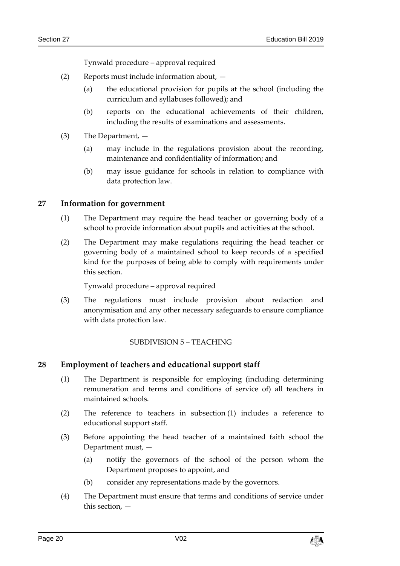Tynwald procedure – approval required

- (2) Reports must include information about,
	- (a) the educational provision for pupils at the school (including the curriculum and syllabuses followed); and
	- (b) reports on the educational achievements of their children, including the results of examinations and assessments.
- (3) The Department,
	- (a) may include in the regulations provision about the recording, maintenance and confidentiality of information; and
	- (b) may issue guidance for schools in relation to compliance with data protection law.

# <span id="page-19-0"></span>**27 Information for government**

- (1) The Department may require the head teacher or governing body of a school to provide information about pupils and activities at the school.
- (2) The Department may make regulations requiring the head teacher or governing body of a maintained school to keep records of a specified kind for the purposes of being able to comply with requirements under this section.

Tynwald procedure – approval required

(3) The regulations must include provision about redaction and anonymisation and any other necessary safeguards to ensure compliance with data protection law.

# SUBDIVISION 5 – TEACHING

# <span id="page-19-2"></span><span id="page-19-1"></span>**28 Employment of teachers and educational support staff**

- (1) The Department is responsible for employing (including determining remuneration and terms and conditions of service of) all teachers in maintained schools.
- (2) The reference to teachers in subsection (1) includes a reference to educational support staff.
- (3) Before appointing the head teacher of a maintained faith school the Department must, —
	- (a) notify the governors of the school of the person whom the Department proposes to appoint, and
	- (b) consider any representations made by the governors.
- (4) The Department must ensure that terms and conditions of service under this section, —

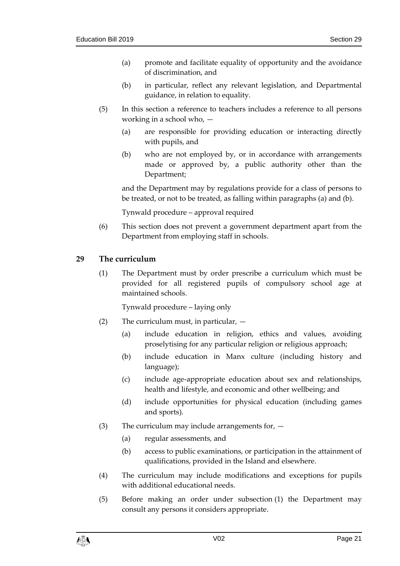- (a) promote and facilitate equality of opportunity and the avoidance of discrimination, and
- (b) in particular, reflect any relevant legislation, and Departmental guidance, in relation to equality.
- (5) In this section a reference to teachers includes a reference to all persons working in a school who, —
	- (a) are responsible for providing education or interacting directly with pupils, and
	- (b) who are not employed by, or in accordance with arrangements made or approved by, a public authority other than the Department;

and the Department may by regulations provide for a class of persons to be treated, or not to be treated, as falling within paragraphs (a) and (b).

Tynwald procedure – approval required

(6) This section does not prevent a government department apart from the Department from employing staff in schools.

# <span id="page-20-0"></span>**29 The curriculum**

(1) The Department must by order prescribe a curriculum which must be provided for all registered pupils of compulsory school age at maintained schools.

Tynwald procedure – laying only

- (2) The curriculum must, in particular,
	- (a) include education in religion, ethics and values, avoiding proselytising for any particular religion or religious approach;
	- (b) include education in Manx culture (including history and language);
	- (c) include age-appropriate education about sex and relationships, health and lifestyle, and economic and other wellbeing; and
	- (d) include opportunities for physical education (including games and sports).
- (3) The curriculum may include arrangements for,  $-$ 
	- (a) regular assessments, and
	- (b) access to public examinations, or participation in the attainment of qualifications, provided in the Island and elsewhere.
- (4) The curriculum may include modifications and exceptions for pupils with additional educational needs.
- (5) Before making an order under subsection (1) the Department may consult any persons it considers appropriate.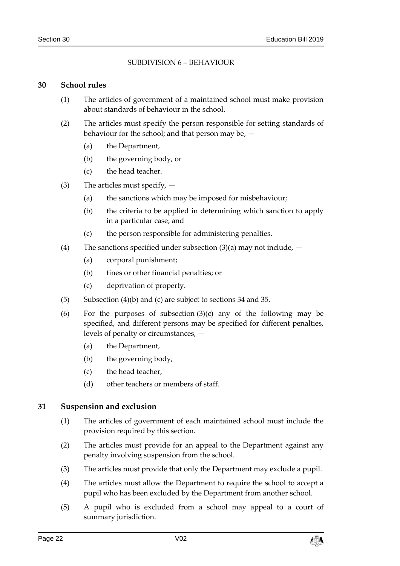# SUBDIVISION 6 – BEHAVIOUR

#### <span id="page-21-1"></span><span id="page-21-0"></span>**30 School rules**

- (1) The articles of government of a maintained school must make provision about standards of behaviour in the school.
- (2) The articles must specify the person responsible for setting standards of behaviour for the school; and that person may be, —
	- (a) the Department,
	- (b) the governing body, or
	- (c) the head teacher.
- (3) The articles must specify,
	- (a) the sanctions which may be imposed for misbehaviour;
	- (b) the criteria to be applied in determining which sanction to apply in a particular case; and
	- (c) the person responsible for administering penalties.
- <span id="page-21-3"></span>(4) The sanctions specified under subsection  $(3)(a)$  may not include,  $-$ 
	- (a) corporal punishment;
	- (b) fines or other financial penalties; or
	- (c) deprivation of property.
- (5) Subsection (4)(b) and (c) are subject to sections [34](#page-22-2) and [35.](#page-23-0)
- (6) For the purposes of subsection  $(3)(c)$  any of the following may be specified, and different persons may be specified for different penalties, levels of penalty or circumstances, —
	- (a) the Department,
	- (b) the governing body,
	- (c) the head teacher,
	- (d) other teachers or members of staff.

# <span id="page-21-2"></span>**31 Suspension and exclusion**

- (1) The articles of government of each maintained school must include the provision required by this section.
- (2) The articles must provide for an appeal to the Department against any penalty involving suspension from the school.
- (3) The articles must provide that only the Department may exclude a pupil.
- (4) The articles must allow the Department to require the school to accept a pupil who has been excluded by the Department from another school.
- (5) A pupil who is excluded from a school may appeal to a court of summary jurisdiction.

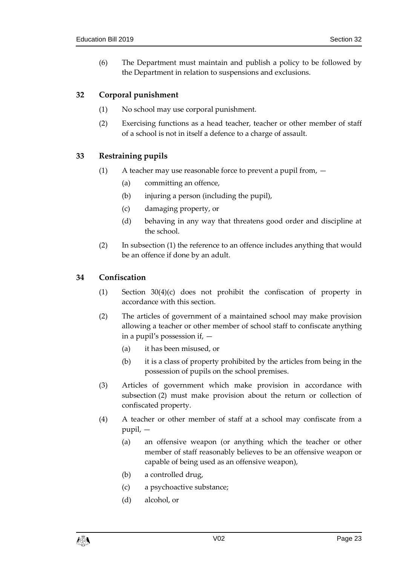(6) The Department must maintain and publish a policy to be followed by the Department in relation to suspensions and exclusions.

# <span id="page-22-0"></span>**32 Corporal punishment**

- (1) No school may use corporal punishment.
- (2) Exercising functions as a head teacher, teacher or other member of staff of a school is not in itself a defence to a charge of assault.

# <span id="page-22-1"></span>**33 Restraining pupils**

- (1) A teacher may use reasonable force to prevent a pupil from,
	- (a) committing an offence,
	- (b) injuring a person (including the pupil),
	- (c) damaging property, or
	- (d) behaving in any way that threatens good order and discipline at the school.
- (2) In subsection (1) the reference to an offence includes anything that would be an offence if done by an adult.

# <span id="page-22-2"></span>**34 Confiscation**

- (1) Section [30\(4\)\(](#page-21-3)c) does not prohibit the confiscation of property in accordance with this section.
- (2) The articles of government of a maintained school may make provision allowing a teacher or other member of school staff to confiscate anything in a pupil's possession if, —
	- (a) it has been misused, or
	- (b) it is a class of property prohibited by the articles from being in the possession of pupils on the school premises.
- (3) Articles of government which make provision in accordance with subsection (2) must make provision about the return or collection of confiscated property.
- (4) A teacher or other member of staff at a school may confiscate from a pupil, —
	- (a) an offensive weapon (or anything which the teacher or other member of staff reasonably believes to be an offensive weapon or capable of being used as an offensive weapon),
	- (b) a controlled drug,
	- (c) a psychoactive substance;
	- (d) alcohol, or

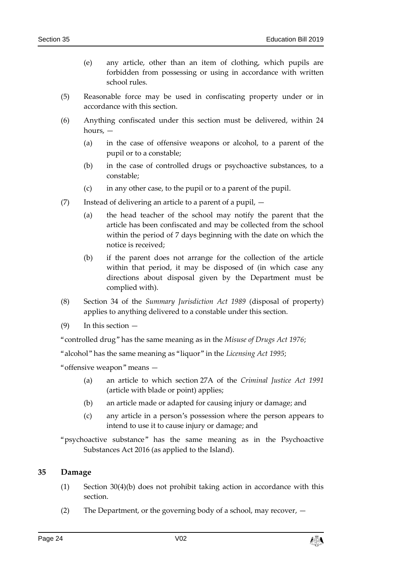- (e) any article, other than an item of clothing, which pupils are forbidden from possessing or using in accordance with written school rules.
- (5) Reasonable force may be used in confiscating property under or in accordance with this section.
- (6) Anything confiscated under this section must be delivered, within 24 hours, —
	- (a) in the case of offensive weapons or alcohol, to a parent of the pupil or to a constable;
	- (b) in the case of controlled drugs or psychoactive substances, to a constable;
	- (c) in any other case, to the pupil or to a parent of the pupil.
- (7) Instead of delivering an article to a parent of a pupil,
	- (a) the head teacher of the school may notify the parent that the article has been confiscated and may be collected from the school within the period of 7 days beginning with the date on which the notice is received;
	- (b) if the parent does not arrange for the collection of the article within that period, it may be disposed of (in which case any directions about disposal given by the Department must be complied with).
- (8) Section 34 of the *Summary Jurisdiction Act 1989* (disposal of property) applies to anything delivered to a constable under this section.
- (9) In this section —

"controlled drug" has the same meaning as in the *Misuse of Drugs Act 1976*;

"alcohol" has the same meaning as "liquor" in the *Licensing Act 1995*;

"offensive weapon" means —

- (a) an article to which section 27A of the *Criminal Justice Act 1991* (article with blade or point) applies;
- (b) an article made or adapted for causing injury or damage; and
- (c) any article in a person's possession where the person appears to intend to use it to cause injury or damage; and

"psychoactive substance" has the same meaning as in the Psychoactive Substances Act 2016 (as applied to the Island).

#### <span id="page-23-0"></span>**35 Damage**

- (1) Section [30\(4\)\(](#page-21-3)b) does not prohibit taking action in accordance with this section.
- (2) The Department, or the governing body of a school, may recover,  $-$

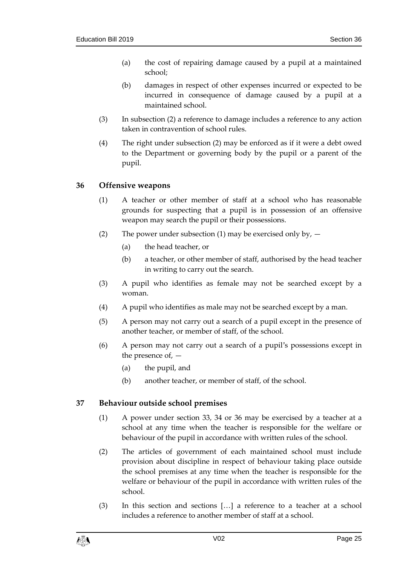- (a) the cost of repairing damage caused by a pupil at a maintained school;
- (b) damages in respect of other expenses incurred or expected to be incurred in consequence of damage caused by a pupil at a maintained school.
- (3) In subsection (2) a reference to damage includes a reference to any action taken in contravention of school rules.
- (4) The right under subsection (2) may be enforced as if it were a debt owed to the Department or governing body by the pupil or a parent of the pupil.

# <span id="page-24-0"></span>**36 Offensive weapons**

- (1) A teacher or other member of staff at a school who has reasonable grounds for suspecting that a pupil is in possession of an offensive weapon may search the pupil or their possessions.
- (2) The power under subsection (1) may be exercised only by,  $-$ 
	- (a) the head teacher, or
	- (b) a teacher, or other member of staff, authorised by the head teacher in writing to carry out the search.
- (3) A pupil who identifies as female may not be searched except by a woman.
- (4) A pupil who identifies as male may not be searched except by a man.
- (5) A person may not carry out a search of a pupil except in the presence of another teacher, or member of staff, of the school.
- (6) A person may not carry out a search of a pupil's possessions except in the presence of, —
	- (a) the pupil, and
	- (b) another teacher, or member of staff, of the school.

# <span id="page-24-1"></span>**37 Behaviour outside school premises**

- (1) A power under section [33,](#page-22-1) [34](#page-22-2) or [36](#page-24-0) may be exercised by a teacher at a school at any time when the teacher is responsible for the welfare or behaviour of the pupil in accordance with written rules of the school.
- (2) The articles of government of each maintained school must include provision about discipline in respect of behaviour taking place outside the school premises at any time when the teacher is responsible for the welfare or behaviour of the pupil in accordance with written rules of the school.
- (3) In this section and sections […] a reference to a teacher at a school includes a reference to another member of staff at a school.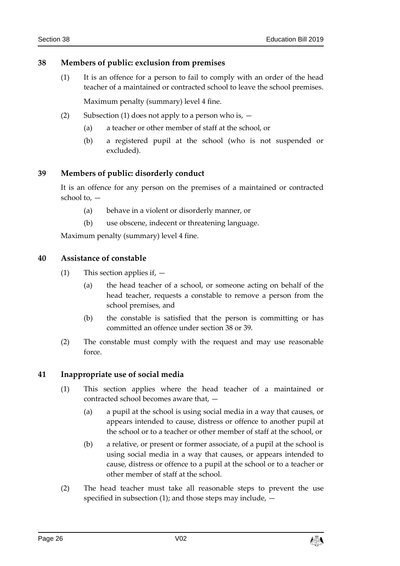# <span id="page-25-0"></span>**38 Members of public: exclusion from premises**

- (1) It is an offence for a person to fail to comply with an order of the head teacher of a maintained or contracted school to leave the school premises. Maximum penalty (summary) level 4 fine.
- (2) Subsection (1) does not apply to a person who is,  $-$ 
	- (a) a teacher or other member of staff at the school, or
	- (b) a registered pupil at the school (who is not suspended or excluded).

# <span id="page-25-1"></span>**39 Members of public: disorderly conduct**

It is an offence for any person on the premises of a maintained or contracted school to, —

- (a) behave in a violent or disorderly manner, or
- (b) use obscene, indecent or threatening language.

Maximum penalty (summary) level 4 fine.

# <span id="page-25-2"></span>**40 Assistance of constable**

- (1) This section applies if,
	- (a) the head teacher of a school, or someone acting on behalf of the head teacher, requests a constable to remove a person from the school premises, and
	- (b) the constable is satisfied that the person is committing or has committed an offence under section [38](#page-25-0) or [39.](#page-25-1)
- (2) The constable must comply with the request and may use reasonable force.

# <span id="page-25-3"></span>**41 Inappropriate use of social media**

- (1) This section applies where the head teacher of a maintained or contracted school becomes aware that, —
	- (a) a pupil at the school is using social media in a way that causes, or appears intended to cause, distress or offence to another pupil at the school or to a teacher or other member of staff at the school, or
	- (b) a relative, or present or former associate, of a pupil at the school is using social media in a way that causes, or appears intended to cause, distress or offence to a pupil at the school or to a teacher or other member of staff at the school.
- (2) The head teacher must take all reasonable steps to prevent the use specified in subsection  $(1)$ ; and those steps may include,  $-$

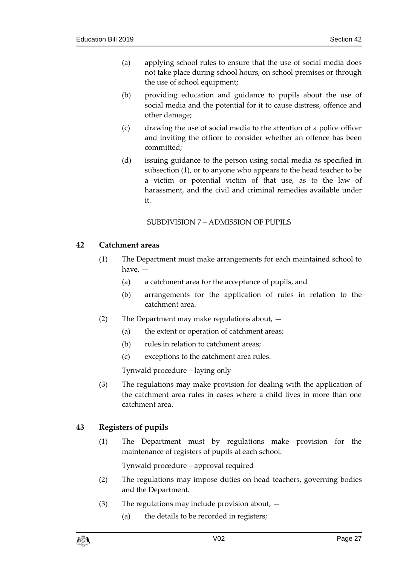- (a) applying school rules to ensure that the use of social media does not take place during school hours, on school premises or through the use of school equipment;
- (b) providing education and guidance to pupils about the use of social media and the potential for it to cause distress, offence and other damage;
- (c) drawing the use of social media to the attention of a police officer and inviting the officer to consider whether an offence has been committed;
- (d) issuing guidance to the person using social media as specified in subsection (1), or to anyone who appears to the head teacher to be a victim or potential victim of that use, as to the law of harassment, and the civil and criminal remedies available under it.

# SUBDIVISION 7 – ADMISSION OF PUPILS

# <span id="page-26-1"></span><span id="page-26-0"></span>**42 Catchment areas**

- (1) The Department must make arrangements for each maintained school to have, —
	- (a) a catchment area for the acceptance of pupils, and
	- (b) arrangements for the application of rules in relation to the catchment area.
- (2) The Department may make regulations about,
	- (a) the extent or operation of catchment areas;
	- (b) rules in relation to catchment areas;
	- (c) exceptions to the catchment area rules.

Tynwald procedure – laying only

(3) The regulations may make provision for dealing with the application of the catchment area rules in cases where a child lives in more than one catchment area.

# <span id="page-26-2"></span>**43 Registers of pupils**

(1) The Department must by regulations make provision for the maintenance of registers of pupils at each school.

Tynwald procedure – approval required

- (2) The regulations may impose duties on head teachers, governing bodies and the Department.
- (3) The regulations may include provision about,
	- (a) the details to be recorded in registers;

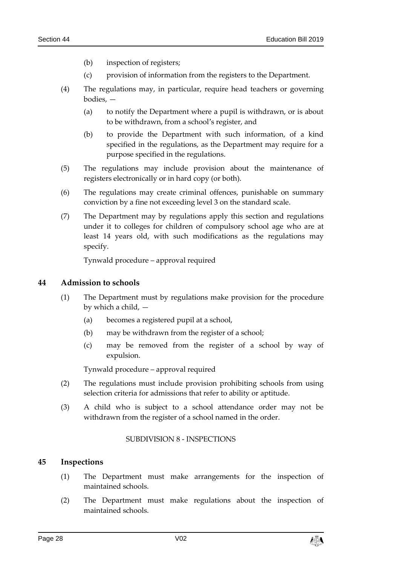- (b) inspection of registers;
- (c) provision of information from the registers to the Department.
- (4) The regulations may, in particular, require head teachers or governing bodies, —
	- (a) to notify the Department where a pupil is withdrawn, or is about to be withdrawn, from a school's register, and
	- (b) to provide the Department with such information, of a kind specified in the regulations, as the Department may require for a purpose specified in the regulations.
- (5) The regulations may include provision about the maintenance of registers electronically or in hard copy (or both).
- (6) The regulations may create criminal offences, punishable on summary conviction by a fine not exceeding level 3 on the standard scale.
- (7) The Department may by regulations apply this section and regulations under it to colleges for children of compulsory school age who are at least 14 years old, with such modifications as the regulations may specify.

Tynwald procedure – approval required

# <span id="page-27-0"></span>**44 Admission to schools**

- (1) The Department must by regulations make provision for the procedure by which a child, —
	- (a) becomes a registered pupil at a school,
	- (b) may be withdrawn from the register of a school;
	- (c) may be removed from the register of a school by way of expulsion.

Tynwald procedure – approval required

- (2) The regulations must include provision prohibiting schools from using selection criteria for admissions that refer to ability or aptitude.
- <span id="page-27-1"></span>(3) A child who is subject to a school attendance order may not be withdrawn from the register of a school named in the order.

#### SUBDIVISION 8 - INSPECTIONS

# <span id="page-27-2"></span>**45 Inspections**

- (1) The Department must make arrangements for the inspection of maintained schools.
- (2) The Department must make regulations about the inspection of maintained schools.

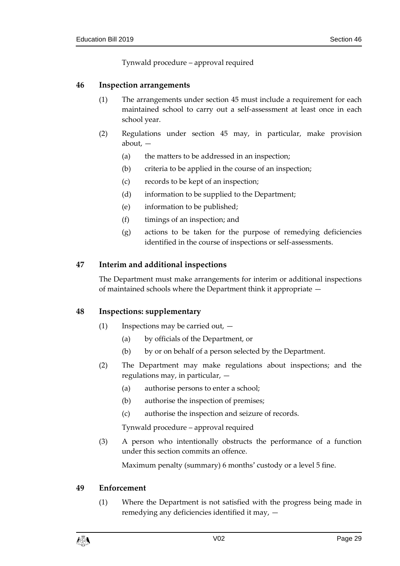Tynwald procedure – approval required

#### <span id="page-28-0"></span>**46 Inspection arrangements**

- (1) The arrangements under section [45](#page-27-2) must include a requirement for each maintained school to carry out a self-assessment at least once in each school year.
- (2) Regulations under section [45](#page-27-2) may, in particular, make provision about, —
	- (a) the matters to be addressed in an inspection;
	- (b) criteria to be applied in the course of an inspection;
	- (c) records to be kept of an inspection;
	- (d) information to be supplied to the Department;
	- (e) information to be published;
	- (f) timings of an inspection; and
	- (g) actions to be taken for the purpose of remedying deficiencies identified in the course of inspections or self-assessments.

# <span id="page-28-1"></span>**47 Interim and additional inspections**

The Department must make arrangements for interim or additional inspections of maintained schools where the Department think it appropriate —

# <span id="page-28-2"></span>**48 Inspections: supplementary**

- (1) Inspections may be carried out,
	- (a) by officials of the Department, or
	- (b) by or on behalf of a person selected by the Department.
- (2) The Department may make regulations about inspections; and the regulations may, in particular, —
	- (a) authorise persons to enter a school;
	- (b) authorise the inspection of premises;
	- (c) authorise the inspection and seizure of records.

Tynwald procedure – approval required

(3) A person who intentionally obstructs the performance of a function under this section commits an offence.

Maximum penalty (summary) 6 months' custody or a level 5 fine.

#### <span id="page-28-3"></span>**49 Enforcement**

(1) Where the Department is not satisfied with the progress being made in remedying any deficiencies identified it may, —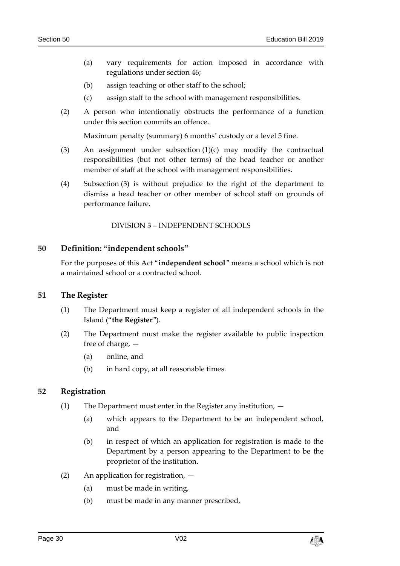- (a) vary requirements for action imposed in accordance with regulations under section [46;](#page-28-0)
- (b) assign teaching or other staff to the school;
- (c) assign staff to the school with management responsibilities.
- (2) A person who intentionally obstructs the performance of a function under this section commits an offence.

Maximum penalty (summary) 6 months' custody or a level 5 fine.

- (3) An assignment under subsection (1)(c) may modify the contractual responsibilities (but not other terms) of the head teacher or another member of staff at the school with management responsibilities.
- (4) Subsection (3) is without prejudice to the right of the department to dismiss a head teacher or other member of school staff on grounds of performance failure.

DIVISION 3 – INDEPENDENT SCHOOLS

#### <span id="page-29-1"></span><span id="page-29-0"></span>**50 Definition: "independent schools"**

For the purposes of this Act "**independent school**" means a school which is not a maintained school or a contracted school.

#### <span id="page-29-2"></span>**51 The Register**

- (1) The Department must keep a register of all independent schools in the Island ("**the Register**").
- (2) The Department must make the register available to public inspection free of charge, —
	- (a) online, and
	- (b) in hard copy, at all reasonable times.

# <span id="page-29-3"></span>**52 Registration**

- (1) The Department must enter in the Register any institution,
	- (a) which appears to the Department to be an independent school, and
	- (b) in respect of which an application for registration is made to the Department by a person appearing to the Department to be the proprietor of the institution.
- (2) An application for registration,
	- (a) must be made in writing,
	- (b) must be made in any manner prescribed,

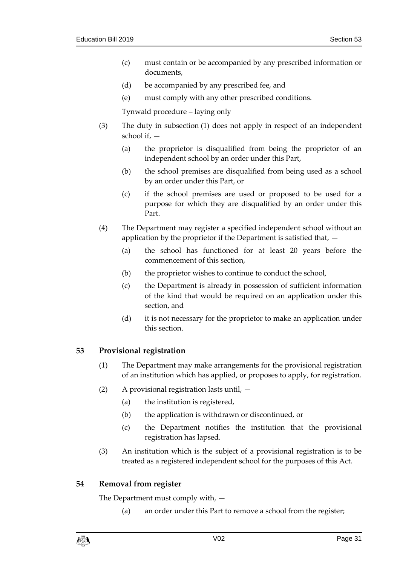- (c) must contain or be accompanied by any prescribed information or documents,
- (d) be accompanied by any prescribed fee, and
- (e) must comply with any other prescribed conditions.

Tynwald procedure – laying only

- (3) The duty in subsection (1) does not apply in respect of an independent school if, —
	- (a) the proprietor is disqualified from being the proprietor of an independent school by an order under this Part,
	- (b) the school premises are disqualified from being used as a school by an order under this Part, or
	- (c) if the school premises are used or proposed to be used for a purpose for which they are disqualified by an order under this Part.
- (4) The Department may register a specified independent school without an application by the proprietor if the Department is satisfied that, —
	- (a) the school has functioned for at least 20 years before the commencement of this section,
	- (b) the proprietor wishes to continue to conduct the school,
	- (c) the Department is already in possession of sufficient information of the kind that would be required on an application under this section, and
	- (d) it is not necessary for the proprietor to make an application under this section.

# <span id="page-30-0"></span>**53 Provisional registration**

- (1) The Department may make arrangements for the provisional registration of an institution which has applied, or proposes to apply, for registration.
- (2) A provisional registration lasts until,
	- (a) the institution is registered,
	- (b) the application is withdrawn or discontinued, or
	- (c) the Department notifies the institution that the provisional registration has lapsed.
- (3) An institution which is the subject of a provisional registration is to be treated as a registered independent school for the purposes of this Act.

# <span id="page-30-1"></span>**54 Removal from register**

The Department must comply with, —

(a) an order under this Part to remove a school from the register;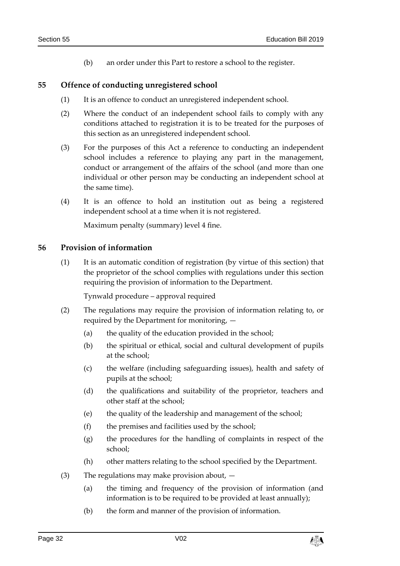(b) an order under this Part to restore a school to the register.

# <span id="page-31-0"></span>**55 Offence of conducting unregistered school**

- (1) It is an offence to conduct an unregistered independent school.
- (2) Where the conduct of an independent school fails to comply with any conditions attached to registration it is to be treated for the purposes of this section as an unregistered independent school.
- (3) For the purposes of this Act a reference to conducting an independent school includes a reference to playing any part in the management, conduct or arrangement of the affairs of the school (and more than one individual or other person may be conducting an independent school at the same time).
- (4) It is an offence to hold an institution out as being a registered independent school at a time when it is not registered.

Maximum penalty (summary) level 4 fine.

#### <span id="page-31-1"></span>**56 Provision of information**

(1) It is an automatic condition of registration (by virtue of this section) that the proprietor of the school complies with regulations under this section requiring the provision of information to the Department.

Tynwald procedure – approval required

- (2) The regulations may require the provision of information relating to, or required by the Department for monitoring, —
	- (a) the quality of the education provided in the school;
	- (b) the spiritual or ethical, social and cultural development of pupils at the school;
	- (c) the welfare (including safeguarding issues), health and safety of pupils at the school;
	- (d) the qualifications and suitability of the proprietor, teachers and other staff at the school;
	- (e) the quality of the leadership and management of the school;
	- (f) the premises and facilities used by the school;
	- (g) the procedures for the handling of complaints in respect of the school;
	- (h) other matters relating to the school specified by the Department.
- (3) The regulations may make provision about,
	- (a) the timing and frequency of the provision of information (and information is to be required to be provided at least annually);
	- (b) the form and manner of the provision of information.

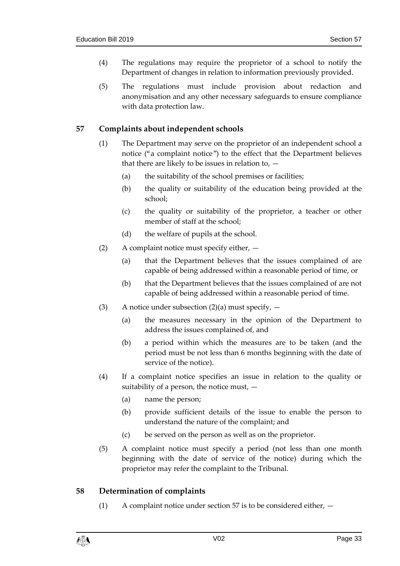- (4) The regulations may require the proprietor of a school to notify the Department of changes in relation to information previously provided.
- (5) The regulations must include provision about redaction and anonymisation and any other necessary safeguards to ensure compliance with data protection law.

# <span id="page-32-0"></span>**57 Complaints about independent schools**

- (1) The Department may serve on the proprietor of an independent school a notice ("a complaint notice") to the effect that the Department believes that there are likely to be issues in relation to, —
	- (a) the suitability of the school premises or facilities;
	- (b) the quality or suitability of the education being provided at the school;
	- (c) the quality or suitability of the proprietor, a teacher or other member of staff at the school;
	- (d) the welfare of pupils at the school.
- (2) A complaint notice must specify either,
	- (a) that the Department believes that the issues complained of are capable of being addressed within a reasonable period of time, or
	- (b) that the Department believes that the issues complained of are not capable of being addressed within a reasonable period of time.
- (3) A notice under subsection  $(2)(a)$  must specify,  $-$ 
	- (a) the measures necessary in the opinion of the Department to address the issues complained of, and
	- (b) a period within which the measures are to be taken (and the period must be not less than 6 months beginning with the date of service of the notice).
- (4) If a complaint notice specifies an issue in relation to the quality or suitability of a person, the notice must,  $-$ 
	- (a) name the person;
	- (b) provide sufficient details of the issue to enable the person to understand the nature of the complaint; and
	- (c) be served on the person as well as on the proprietor.
- (5) A complaint notice must specify a period (not less than one month beginning with the date of service of the notice) during which the proprietor may refer the complaint to the Tribunal.

# <span id="page-32-1"></span>**58 Determination of complaints**

(1) A complaint notice under section [57](#page-32-0) is to be considered either, —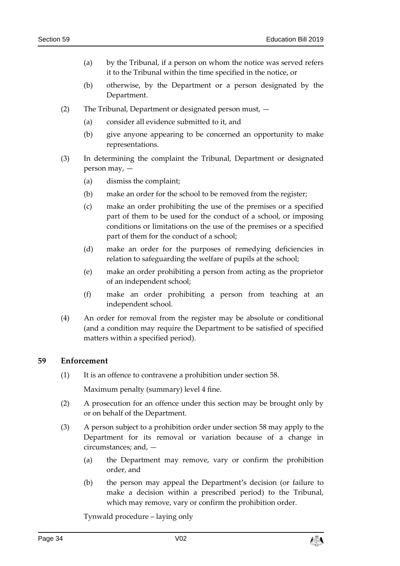- (a) by the Tribunal, if a person on whom the notice was served refers it to the Tribunal within the time specified in the notice, or
- (b) otherwise, by the Department or a person designated by the Department.
- (2) The Tribunal, Department or designated person must,
	- (a) consider all evidence submitted to it, and
	- (b) give anyone appearing to be concerned an opportunity to make representations.
- (3) In determining the complaint the Tribunal, Department or designated person may, —
	- (a) dismiss the complaint;
	- (b) make an order for the school to be removed from the register;
	- (c) make an order prohibiting the use of the premises or a specified part of them to be used for the conduct of a school, or imposing conditions or limitations on the use of the premises or a specified part of them for the conduct of a school;
	- (d) make an order for the purposes of remedying deficiencies in relation to safeguarding the welfare of pupils at the school;
	- (e) make an order prohibiting a person from acting as the proprietor of an independent school;
	- (f) make an order prohibiting a person from teaching at an independent school.
- (4) An order for removal from the register may be absolute or conditional (and a condition may require the Department to be satisfied of specified matters within a specified period).

# <span id="page-33-0"></span>**59 Enforcement**

(1) It is an offence to contravene a prohibition under section [58.](#page-32-1)

Maximum penalty (summary) level 4 fine.

- (2) A prosecution for an offence under this section may be brought only by or on behalf of the Department.
- (3) A person subject to a prohibition order under section [58](#page-32-1) may apply to the Department for its removal or variation because of a change in circumstances; and, —
	- (a) the Department may remove, vary or confirm the prohibition order, and
	- (b) the person may appeal the Department's decision (or failure to make a decision within a prescribed period) to the Tribunal, which may remove, vary or confirm the prohibition order.

Tynwald procedure – laying only

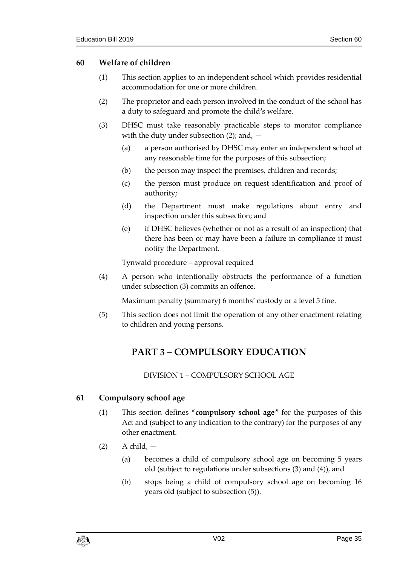# <span id="page-34-0"></span>**60 Welfare of children**

- (1) This section applies to an independent school which provides residential accommodation for one or more children.
- (2) The proprietor and each person involved in the conduct of the school has a duty to safeguard and promote the child's welfare.
- (3) DHSC must take reasonably practicable steps to monitor compliance with the duty under subsection  $(2)$ ; and,  $-$ 
	- (a) a person authorised by DHSC may enter an independent school at any reasonable time for the purposes of this subsection;
	- (b) the person may inspect the premises, children and records;
	- (c) the person must produce on request identification and proof of authority;
	- (d) the Department must make regulations about entry and inspection under this subsection; and
	- (e) if DHSC believes (whether or not as a result of an inspection) that there has been or may have been a failure in compliance it must notify the Department.

Tynwald procedure – approval required

(4) A person who intentionally obstructs the performance of a function under subsection (3) commits an offence.

Maximum penalty (summary) 6 months' custody or a level 5 fine.

<span id="page-34-1"></span>(5) This section does not limit the operation of any other enactment relating to children and young persons.

# **PART 3 – COMPULSORY EDUCATION**

DIVISION 1 – COMPULSORY SCHOOL AGE

# <span id="page-34-3"></span><span id="page-34-2"></span>**61 Compulsory school age**

- (1) This section defines "**compulsory school age**" for the purposes of this Act and (subject to any indication to the contrary) for the purposes of any other enactment.
- $(2)$  A child,  $-$ 
	- (a) becomes a child of compulsory school age on becoming 5 years old (subject to regulations under subsections (3) and (4)), and
	- (b) stops being a child of compulsory school age on becoming 16 years old (subject to subsection (5)).

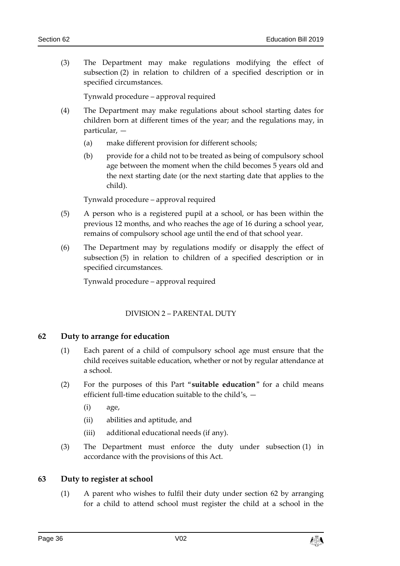(3) The Department may make regulations modifying the effect of subsection (2) in relation to children of a specified description or in specified circumstances.

Tynwald procedure – approval required

- (4) The Department may make regulations about school starting dates for children born at different times of the year; and the regulations may, in particular, —
	- (a) make different provision for different schools;
	- (b) provide for a child not to be treated as being of compulsory school age between the moment when the child becomes 5 years old and the next starting date (or the next starting date that applies to the child).

Tynwald procedure – approval required

- (5) A person who is a registered pupil at a school, or has been within the previous 12 months, and who reaches the age of 16 during a school year, remains of compulsory school age until the end of that school year.
- (6) The Department may by regulations modify or disapply the effect of subsection (5) in relation to children of a specified description or in specified circumstances.

Tynwald procedure – approval required

# DIVISION 2 – PARENTAL DUTY

# <span id="page-35-1"></span><span id="page-35-0"></span>**62 Duty to arrange for education**

- (1) Each parent of a child of compulsory school age must ensure that the child receives suitable education, whether or not by regular attendance at a school.
- (2) For the purposes of this Part "**suitable education**" for a child means efficient full-time education suitable to the child's, —
	- (i) age,
	- (ii) abilities and aptitude, and
	- (iii) additional educational needs (if any).
- (3) The Department must enforce the duty under subsection (1) in accordance with the provisions of this Act.

# <span id="page-35-2"></span>**63 Duty to register at school**

(1) A parent who wishes to fulfil their duty under section [62](#page-35-1) by arranging for a child to attend school must register the child at a school in the

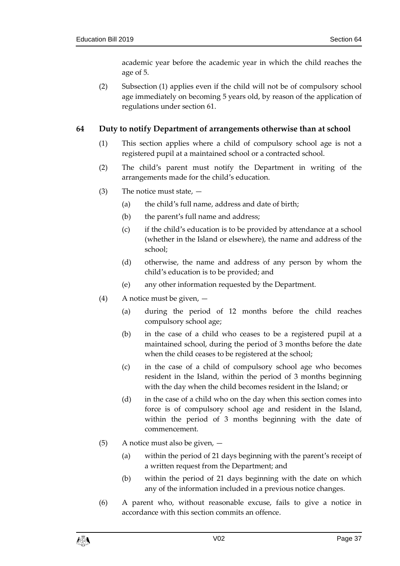academic year before the academic year in which the child reaches the age of 5.

(2) Subsection (1) applies even if the child will not be of compulsory school age immediately on becoming 5 years old, by reason of the application of regulations under section [61.](#page-34-0)

# <span id="page-36-0"></span>**64 Duty to notify Department of arrangements otherwise than at school**

- (1) This section applies where a child of compulsory school age is not a registered pupil at a maintained school or a contracted school.
- (2) The child's parent must notify the Department in writing of the arrangements made for the child's education.
- (3) The notice must state,  $-$ 
	- (a) the child's full name, address and date of birth;
	- (b) the parent's full name and address;
	- (c) if the child's education is to be provided by attendance at a school (whether in the Island or elsewhere), the name and address of the school;
	- (d) otherwise, the name and address of any person by whom the child's education is to be provided; and
	- (e) any other information requested by the Department.
- (4) A notice must be given,
	- (a) during the period of 12 months before the child reaches compulsory school age;
	- (b) in the case of a child who ceases to be a registered pupil at a maintained school, during the period of 3 months before the date when the child ceases to be registered at the school;
	- (c) in the case of a child of compulsory school age who becomes resident in the Island, within the period of 3 months beginning with the day when the child becomes resident in the Island; or
	- (d) in the case of a child who on the day when this section comes into force is of compulsory school age and resident in the Island, within the period of 3 months beginning with the date of commencement.
- (5) A notice must also be given,
	- (a) within the period of 21 days beginning with the parent's receipt of a written request from the Department; and
	- (b) within the period of 21 days beginning with the date on which any of the information included in a previous notice changes.
- (6) A parent who, without reasonable excuse, fails to give a notice in accordance with this section commits an offence.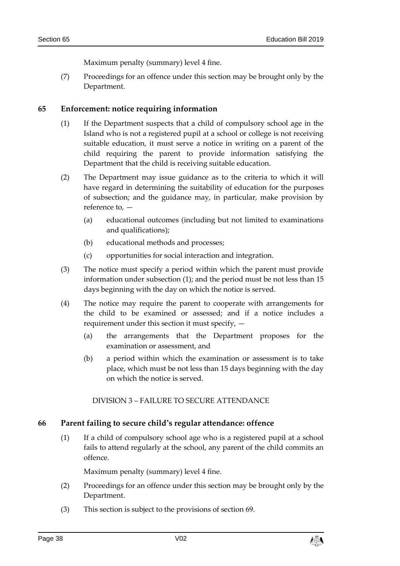Maximum penalty (summary) level 4 fine.

(7) Proceedings for an offence under this section may be brought only by the Department.

## <span id="page-37-1"></span>**65 Enforcement: notice requiring information**

- (1) If the Department suspects that a child of compulsory school age in the Island who is not a registered pupil at a school or college is not receiving suitable education, it must serve a notice in writing on a parent of the child requiring the parent to provide information satisfying the Department that the child is receiving suitable education.
- (2) The Department may issue guidance as to the criteria to which it will have regard in determining the suitability of education for the purposes of subsection; and the guidance may, in particular, make provision by reference to, —
	- (a) educational outcomes (including but not limited to examinations and qualifications);
	- (b) educational methods and processes;
	- (c) opportunities for social interaction and integration.
- (3) The notice must specify a period within which the parent must provide information under subsection (1); and the period must be not less than 15 days beginning with the day on which the notice is served.
- (4) The notice may require the parent to cooperate with arrangements for the child to be examined or assessed; and if a notice includes a requirement under this section it must specify, —
	- (a) the arrangements that the Department proposes for the examination or assessment, and
	- (b) a period within which the examination or assessment is to take place, which must be not less than 15 days beginning with the day on which the notice is served.

#### DIVISION 3 – FAILURE TO SECURE ATTENDANCE

## <span id="page-37-0"></span>**66 Parent failing to secure child's regular attendance: offence**

(1) If a child of compulsory school age who is a registered pupil at a school fails to attend regularly at the school, any parent of the child commits an offence.

Maximum penalty (summary) level 4 fine.

- (2) Proceedings for an offence under this section may be brought only by the Department.
- (3) This section is subject to the provisions of section [69.](#page-39-0)

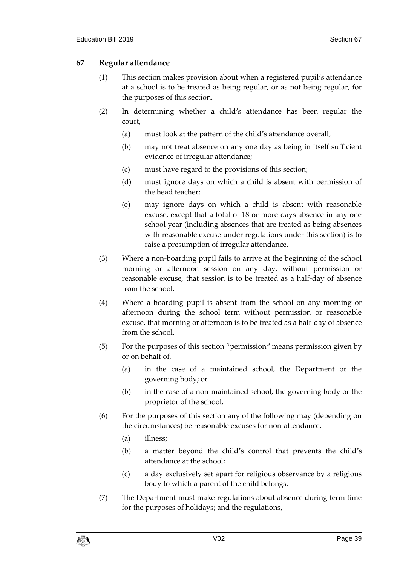# <span id="page-38-0"></span>**67 Regular attendance**

- (1) This section makes provision about when a registered pupil's attendance at a school is to be treated as being regular, or as not being regular, for the purposes of this section.
- (2) In determining whether a child's attendance has been regular the court, —
	- (a) must look at the pattern of the child's attendance overall,
	- (b) may not treat absence on any one day as being in itself sufficient evidence of irregular attendance;
	- (c) must have regard to the provisions of this section;
	- (d) must ignore days on which a child is absent with permission of the head teacher;
	- (e) may ignore days on which a child is absent with reasonable excuse, except that a total of 18 or more days absence in any one school year (including absences that are treated as being absences with reasonable excuse under regulations under this section) is to raise a presumption of irregular attendance.
- (3) Where a non-boarding pupil fails to arrive at the beginning of the school morning or afternoon session on any day, without permission or reasonable excuse, that session is to be treated as a half-day of absence from the school.
- (4) Where a boarding pupil is absent from the school on any morning or afternoon during the school term without permission or reasonable excuse, that morning or afternoon is to be treated as a half-day of absence from the school.
- (5) For the purposes of this section "permission" means permission given by or on behalf of, —
	- (a) in the case of a maintained school, the Department or the governing body; or
	- (b) in the case of a non-maintained school, the governing body or the proprietor of the school.
- (6) For the purposes of this section any of the following may (depending on the circumstances) be reasonable excuses for non-attendance, —
	- (a) illness;
	- (b) a matter beyond the child's control that prevents the child's attendance at the school;
	- (c) a day exclusively set apart for religious observance by a religious body to which a parent of the child belongs.
- (7) The Department must make regulations about absence during term time for the purposes of holidays; and the regulations, —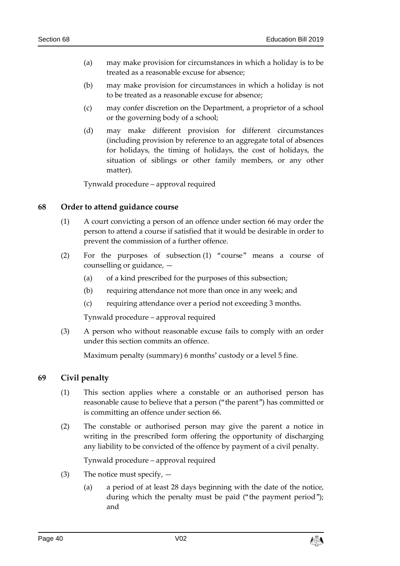- (a) may make provision for circumstances in which a holiday is to be treated as a reasonable excuse for absence;
- (b) may make provision for circumstances in which a holiday is not to be treated as a reasonable excuse for absence;
- (c) may confer discretion on the Department, a proprietor of a school or the governing body of a school;
- (d) may make different provision for different circumstances (including provision by reference to an aggregate total of absences for holidays, the timing of holidays, the cost of holidays, the situation of siblings or other family members, or any other matter).

Tynwald procedure – approval required

## **68 Order to attend guidance course**

- (1) A court convicting a person of an offence under section [66](#page-37-0) may order the person to attend a course if satisfied that it would be desirable in order to prevent the commission of a further offence.
- (2) For the purposes of subsection (1) "course" means a course of counselling or guidance, —
	- (a) of a kind prescribed for the purposes of this subsection;
	- (b) requiring attendance not more than once in any week; and
	- (c) requiring attendance over a period not exceeding 3 months.

Tynwald procedure – approval required

(3) A person who without reasonable excuse fails to comply with an order under this section commits an offence.

Maximum penalty (summary) 6 months' custody or a level 5 fine.

## <span id="page-39-0"></span>**69 Civil penalty**

- (1) This section applies where a constable or an authorised person has reasonable cause to believe that a person ("the parent") has committed or is committing an offence under section [66.](#page-37-0)
- (2) The constable or authorised person may give the parent a notice in writing in the prescribed form offering the opportunity of discharging any liability to be convicted of the offence by payment of a civil penalty.

- (3) The notice must specify,  $-$ 
	- (a) a period of at least 28 days beginning with the date of the notice, during which the penalty must be paid ("the payment period"); and

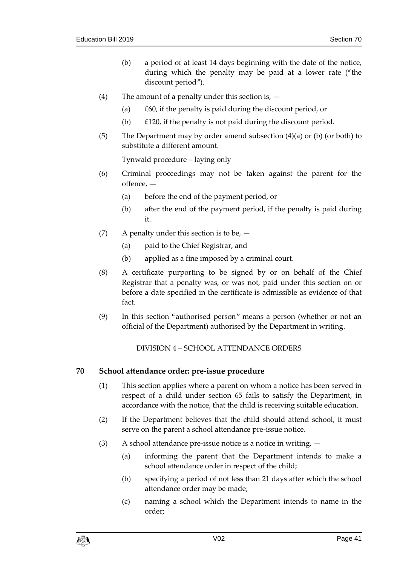- (b) a period of at least 14 days beginning with the date of the notice, during which the penalty may be paid at a lower rate ("the discount period").
- (4) The amount of a penalty under this section is,  $-$ 
	- (a) £60, if the penalty is paid during the discount period, or
	- (b) £120, if the penalty is not paid during the discount period.
- (5) The Department may by order amend subsection (4)(a) or (b) (or both) to substitute a different amount.

Tynwald procedure – laying only

- (6) Criminal proceedings may not be taken against the parent for the offence, —
	- (a) before the end of the payment period, or
	- (b) after the end of the payment period, if the penalty is paid during it.
- (7) A penalty under this section is to be,
	- (a) paid to the Chief Registrar, and
	- (b) applied as a fine imposed by a criminal court.
- (8) A certificate purporting to be signed by or on behalf of the Chief Registrar that a penalty was, or was not, paid under this section on or before a date specified in the certificate is admissible as evidence of that fact.
- (9) In this section "authorised person" means a person (whether or not an official of the Department) authorised by the Department in writing.

DIVISION 4 – SCHOOL ATTENDANCE ORDERS

## **70 School attendance order: pre-issue procedure**

- (1) This section applies where a parent on whom a notice has been served in respect of a child under section [65](#page-37-1) fails to satisfy the Department, in accordance with the notice, that the child is receiving suitable education.
- (2) If the Department believes that the child should attend school, it must serve on the parent a school attendance pre-issue notice.
- (3) A school attendance pre-issue notice is a notice in writing,  $-$ 
	- (a) informing the parent that the Department intends to make a school attendance order in respect of the child;
	- (b) specifying a period of not less than 21 days after which the school attendance order may be made;
	- (c) naming a school which the Department intends to name in the order;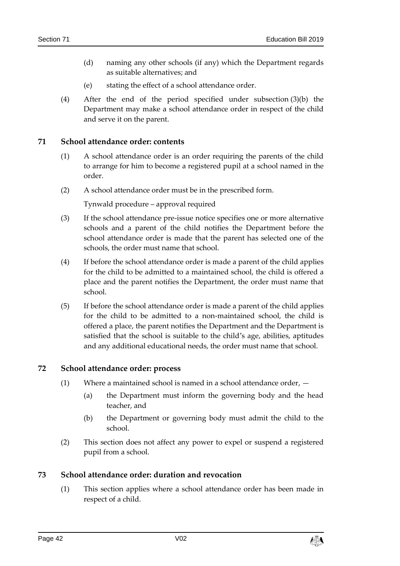- (d) naming any other schools (if any) which the Department regards as suitable alternatives; and
- (e) stating the effect of a school attendance order.
- (4) After the end of the period specified under subsection (3)(b) the Department may make a school attendance order in respect of the child and serve it on the parent.

#### **71 School attendance order: contents**

- (1) A school attendance order is an order requiring the parents of the child to arrange for him to become a registered pupil at a school named in the order.
- (2) A school attendance order must be in the prescribed form.

Tynwald procedure – approval required

- (3) If the school attendance pre-issue notice specifies one or more alternative schools and a parent of the child notifies the Department before the school attendance order is made that the parent has selected one of the schools, the order must name that school.
- (4) If before the school attendance order is made a parent of the child applies for the child to be admitted to a maintained school, the child is offered a place and the parent notifies the Department, the order must name that school.
- (5) If before the school attendance order is made a parent of the child applies for the child to be admitted to a non-maintained school, the child is offered a place, the parent notifies the Department and the Department is satisfied that the school is suitable to the child's age, abilities, aptitudes and any additional educational needs, the order must name that school.

## **72 School attendance order: process**

- $(1)$  Where a maintained school is named in a school attendance order,  $-$ 
	- (a) the Department must inform the governing body and the head teacher, and
	- (b) the Department or governing body must admit the child to the school.
- (2) This section does not affect any power to expel or suspend a registered pupil from a school.

## **73 School attendance order: duration and revocation**

(1) This section applies where a school attendance order has been made in respect of a child.

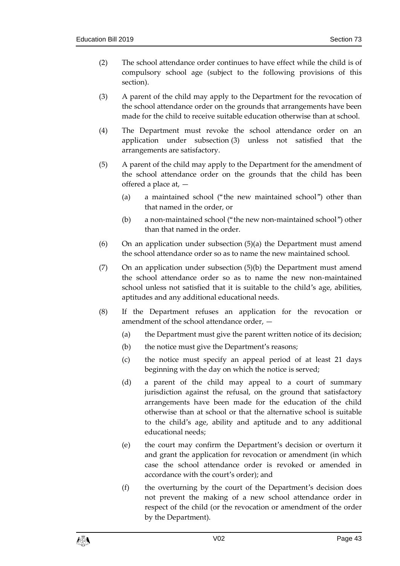- (2) The school attendance order continues to have effect while the child is of compulsory school age (subject to the following provisions of this section).
- (3) A parent of the child may apply to the Department for the revocation of the school attendance order on the grounds that arrangements have been made for the child to receive suitable education otherwise than at school.
- (4) The Department must revoke the school attendance order on an application under subsection (3) unless not satisfied that the arrangements are satisfactory.
- (5) A parent of the child may apply to the Department for the amendment of the school attendance order on the grounds that the child has been offered a place at, —
	- (a) a maintained school ("the new maintained school") other than that named in the order, or
	- (b) a non-maintained school ("the new non-maintained school") other than that named in the order.
- (6) On an application under subsection (5)(a) the Department must amend the school attendance order so as to name the new maintained school.
- $(7)$  On an application under subsection  $(5)(b)$  the Department must amend the school attendance order so as to name the new non-maintained school unless not satisfied that it is suitable to the child's age, abilities, aptitudes and any additional educational needs.
- (8) If the Department refuses an application for the revocation or amendment of the school attendance order, —
	- (a) the Department must give the parent written notice of its decision;
	- (b) the notice must give the Department's reasons;
	- (c) the notice must specify an appeal period of at least 21 days beginning with the day on which the notice is served;
	- (d) a parent of the child may appeal to a court of summary jurisdiction against the refusal, on the ground that satisfactory arrangements have been made for the education of the child otherwise than at school or that the alternative school is suitable to the child's age, ability and aptitude and to any additional educational needs;
	- (e) the court may confirm the Department's decision or overturn it and grant the application for revocation or amendment (in which case the school attendance order is revoked or amended in accordance with the court's order); and
	- (f) the overturning by the court of the Department's decision does not prevent the making of a new school attendance order in respect of the child (or the revocation or amendment of the order by the Department).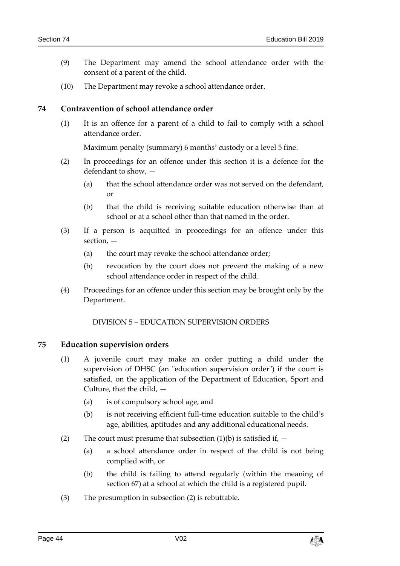- (9) The Department may amend the school attendance order with the consent of a parent of the child.
- (10) The Department may revoke a school attendance order.

#### **74 Contravention of school attendance order**

(1) It is an offence for a parent of a child to fail to comply with a school attendance order.

Maximum penalty (summary) 6 months' custody or a level 5 fine.

- (2) In proceedings for an offence under this section it is a defence for the defendant to show, —
	- (a) that the school attendance order was not served on the defendant, or
	- (b) that the child is receiving suitable education otherwise than at school or at a school other than that named in the order.
- (3) If a person is acquitted in proceedings for an offence under this section, —
	- (a) the court may revoke the school attendance order;
	- (b) revocation by the court does not prevent the making of a new school attendance order in respect of the child.
- (4) Proceedings for an offence under this section may be brought only by the Department.

DIVISION 5 – EDUCATION SUPERVISION ORDERS

#### **75 Education supervision orders**

- (1) A juvenile court may make an order putting a child under the supervision of DHSC (an "education supervision order") if the court is satisfied, on the application of the Department of Education, Sport and Culture, that the child, —
	- (a) is of compulsory school age, and
	- (b) is not receiving efficient full-time education suitable to the child's age, abilities, aptitudes and any additional educational needs.
- (2) The court must presume that subsection (1)(b) is satisfied if,  $-$ 
	- (a) a school attendance order in respect of the child is not being complied with, or
	- (b) the child is failing to attend regularly (within the meaning of section [67\)](#page-38-0) at a school at which the child is a registered pupil.
- (3) The presumption in subsection (2) is rebuttable.

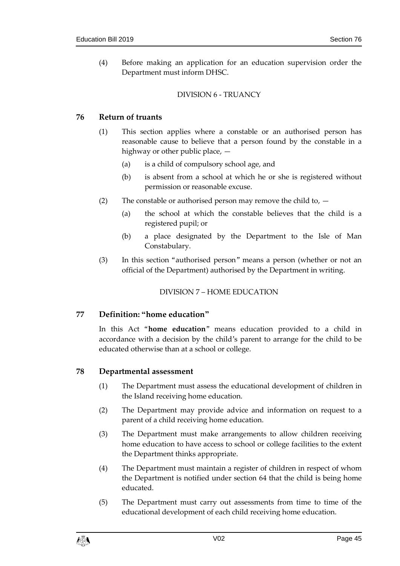(4) Before making an application for an education supervision order the Department must inform DHSC.

# DIVISION 6 - TRUANCY

# **76 Return of truants**

- (1) This section applies where a constable or an authorised person has reasonable cause to believe that a person found by the constable in a highway or other public place, —
	- (a) is a child of compulsory school age, and
	- (b) is absent from a school at which he or she is registered without permission or reasonable excuse.
- (2) The constable or authorised person may remove the child to,
	- (a) the school at which the constable believes that the child is a registered pupil; or
	- (b) a place designated by the Department to the Isle of Man Constabulary.
- (3) In this section "authorised person" means a person (whether or not an official of the Department) authorised by the Department in writing.

## DIVISION 7 – HOME EDUCATION

# **77 Definition: "home education"**

In this Act "**home education**" means education provided to a child in accordance with a decision by the child's parent to arrange for the child to be educated otherwise than at a school or college.

# **78 Departmental assessment**

- (1) The Department must assess the educational development of children in the Island receiving home education.
- (2) The Department may provide advice and information on request to a parent of a child receiving home education.
- (3) The Department must make arrangements to allow children receiving home education to have access to school or college facilities to the extent the Department thinks appropriate.
- (4) The Department must maintain a register of children in respect of whom the Department is notified under section [64](#page-36-0) that the child is being home educated.
- (5) The Department must carry out assessments from time to time of the educational development of each child receiving home education.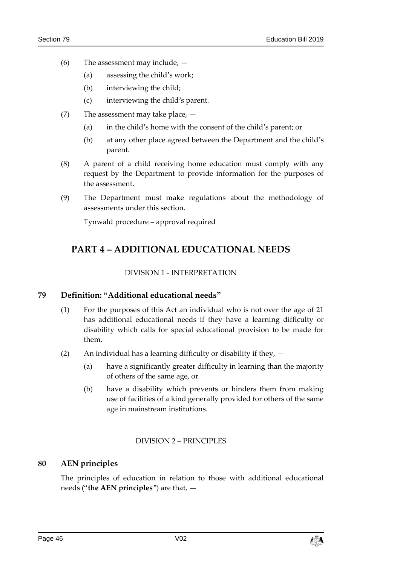- (6) The assessment may include,
	- (a) assessing the child's work;
	- (b) interviewing the child;
	- (c) interviewing the child's parent.
- (7) The assessment may take place,
	- (a) in the child's home with the consent of the child's parent; or
	- (b) at any other place agreed between the Department and the child's parent.
- (8) A parent of a child receiving home education must comply with any request by the Department to provide information for the purposes of the assessment.
- (9) The Department must make regulations about the methodology of assessments under this section.

Tynwald procedure – approval required

# **PART 4 – ADDITIONAL EDUCATIONAL NEEDS**

## DIVISION 1 - INTERPRETATION

## **79 Definition: "Additional educational needs"**

- (1) For the purposes of this Act an individual who is not over the age of 21 has additional educational needs if they have a learning difficulty or disability which calls for special educational provision to be made for them.
- (2) An individual has a learning difficulty or disability if they,
	- (a) have a significantly greater difficulty in learning than the majority of others of the same age, or
	- (b) have a disability which prevents or hinders them from making use of facilities of a kind generally provided for others of the same age in mainstream institutions.

## DIVISION 2 – PRINCIPLES

# **80 AEN principles**

The principles of education in relation to those with additional educational needs ("**the AEN principles**") are that, —

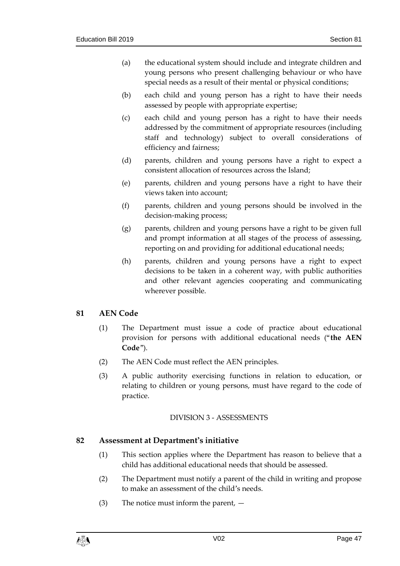- (a) the educational system should include and integrate children and young persons who present challenging behaviour or who have special needs as a result of their mental or physical conditions;
- (b) each child and young person has a right to have their needs assessed by people with appropriate expertise;
- (c) each child and young person has a right to have their needs addressed by the commitment of appropriate resources (including staff and technology) subject to overall considerations of efficiency and fairness;
- (d) parents, children and young persons have a right to expect a consistent allocation of resources across the Island;
- (e) parents, children and young persons have a right to have their views taken into account;
- (f) parents, children and young persons should be involved in the decision-making process;
- (g) parents, children and young persons have a right to be given full and prompt information at all stages of the process of assessing, reporting on and providing for additional educational needs;
- (h) parents, children and young persons have a right to expect decisions to be taken in a coherent way, with public authorities and other relevant agencies cooperating and communicating wherever possible.

# **81 AEN Code**

- (1) The Department must issue a code of practice about educational provision for persons with additional educational needs ("**the AEN Code**").
- (2) The AEN Code must reflect the AEN principles.
- (3) A public authority exercising functions in relation to education, or relating to children or young persons, must have regard to the code of practice.

# DIVISION 3 - ASSESSMENTS

# **82 Assessment at Department's initiative**

- (1) This section applies where the Department has reason to believe that a child has additional educational needs that should be assessed.
- (2) The Department must notify a parent of the child in writing and propose to make an assessment of the child's needs.
- (3) The notice must inform the parent, —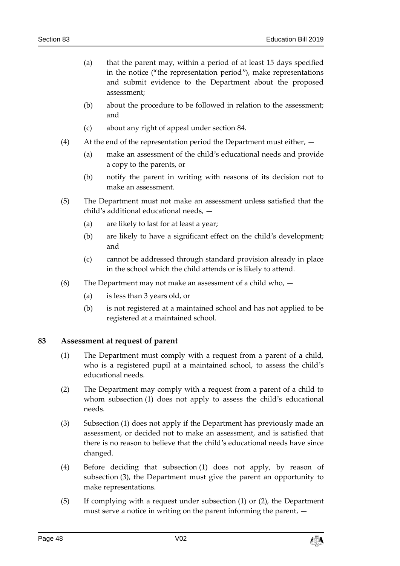- (a) that the parent may, within a period of at least 15 days specified in the notice ("the representation period"), make representations and submit evidence to the Department about the proposed assessment;
- (b) about the procedure to be followed in relation to the assessment; and
- (c) about any right of appeal under section [84.](#page-48-0)
- (4) At the end of the representation period the Department must either,
	- (a) make an assessment of the child's educational needs and provide a copy to the parents, or
	- (b) notify the parent in writing with reasons of its decision not to make an assessment.
- (5) The Department must not make an assessment unless satisfied that the child's additional educational needs, —
	- (a) are likely to last for at least a year;
	- (b) are likely to have a significant effect on the child's development; and
	- (c) cannot be addressed through standard provision already in place in the school which the child attends or is likely to attend.
- (6) The Department may not make an assessment of a child who,
	- (a) is less than 3 years old, or
	- (b) is not registered at a maintained school and has not applied to be registered at a maintained school.

#### **83 Assessment at request of parent**

- (1) The Department must comply with a request from a parent of a child, who is a registered pupil at a maintained school, to assess the child's educational needs.
- (2) The Department may comply with a request from a parent of a child to whom subsection (1) does not apply to assess the child's educational needs.
- (3) Subsection (1) does not apply if the Department has previously made an assessment, or decided not to make an assessment, and is satisfied that there is no reason to believe that the child's educational needs have since changed.
- (4) Before deciding that subsection (1) does not apply, by reason of subsection (3), the Department must give the parent an opportunity to make representations.
- (5) If complying with a request under subsection (1) or (2), the Department must serve a notice in writing on the parent informing the parent, —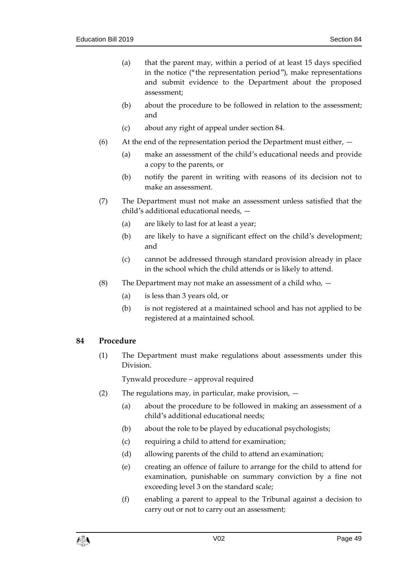- (a) that the parent may, within a period of at least 15 days specified in the notice ("the representation period"), make representations and submit evidence to the Department about the proposed assessment;
- (b) about the procedure to be followed in relation to the assessment; and
- (c) about any right of appeal under section [84.](#page-48-0)
- (6) At the end of the representation period the Department must either,
	- (a) make an assessment of the child's educational needs and provide a copy to the parents, or
	- (b) notify the parent in writing with reasons of its decision not to make an assessment.
- (7) The Department must not make an assessment unless satisfied that the child's additional educational needs, —
	- (a) are likely to last for at least a year;
	- (b) are likely to have a significant effect on the child's development; and
	- (c) cannot be addressed through standard provision already in place in the school which the child attends or is likely to attend.
- (8) The Department may not make an assessment of a child who,  $-$ 
	- (a) is less than 3 years old, or
	- (b) is not registered at a maintained school and has not applied to be registered at a maintained school.

## <span id="page-48-0"></span>**84 Procedure**

(1) The Department must make regulations about assessments under this Division.

- (2) The regulations may, in particular, make provision,  $-$ 
	- (a) about the procedure to be followed in making an assessment of a child's additional educational needs;
	- (b) about the role to be played by educational psychologists;
	- (c) requiring a child to attend for examination;
	- (d) allowing parents of the child to attend an examination;
	- (e) creating an offence of failure to arrange for the child to attend for examination, punishable on summary conviction by a fine not exceeding level 3 on the standard scale;
	- (f) enabling a parent to appeal to the Tribunal against a decision to carry out or not to carry out an assessment;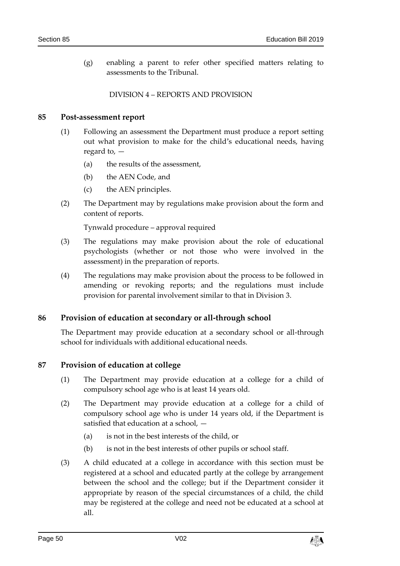(g) enabling a parent to refer other specified matters relating to assessments to the Tribunal.

#### DIVISION 4 – REPORTS AND PROVISION

#### **85 Post-assessment report**

- (1) Following an assessment the Department must produce a report setting out what provision to make for the child's educational needs, having regard to, —
	- (a) the results of the assessment,
	- (b) the AEN Code, and
	- (c) the AEN principles.
- (2) The Department may by regulations make provision about the form and content of reports.

Tynwald procedure – approval required

- (3) The regulations may make provision about the role of educational psychologists (whether or not those who were involved in the assessment) in the preparation of reports.
- (4) The regulations may make provision about the process to be followed in amending or revoking reports; and the regulations must include provision for parental involvement similar to that in Division 3.

#### **86 Provision of education at secondary or all-through school**

The Department may provide education at a secondary school or all-through school for individuals with additional educational needs.

#### **87 Provision of education at college**

- (1) The Department may provide education at a college for a child of compulsory school age who is at least 14 years old.
- (2) The Department may provide education at a college for a child of compulsory school age who is under 14 years old, if the Department is satisfied that education at a school, —
	- (a) is not in the best interests of the child, or
	- (b) is not in the best interests of other pupils or school staff.
- (3) A child educated at a college in accordance with this section must be registered at a school and educated partly at the college by arrangement between the school and the college; but if the Department consider it appropriate by reason of the special circumstances of a child, the child may be registered at the college and need not be educated at a school at all.

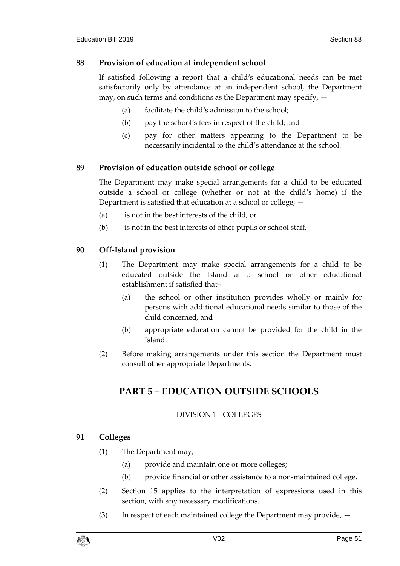## **88 Provision of education at independent school**

If satisfied following a report that a child's educational needs can be met satisfactorily only by attendance at an independent school, the Department may, on such terms and conditions as the Department may specify, —

- (a) facilitate the child's admission to the school;
- (b) pay the school's fees in respect of the child; and
- (c) pay for other matters appearing to the Department to be necessarily incidental to the child's attendance at the school.

# **89 Provision of education outside school or college**

The Department may make special arrangements for a child to be educated outside a school or college (whether or not at the child's home) if the Department is satisfied that education at a school or college, —

- (a) is not in the best interests of the child, or
- (b) is not in the best interests of other pupils or school staff.

## **90 Off-Island provision**

- (1) The Department may make special arrangements for a child to be educated outside the Island at a school or other educational establishment if satisfied that¬—
	- (a) the school or other institution provides wholly or mainly for persons with additional educational needs similar to those of the child concerned, and
	- (b) appropriate education cannot be provided for the child in the Island.
- (2) Before making arrangements under this section the Department must consult other appropriate Departments.

# **PART 5 – EDUCATION OUTSIDE SCHOOLS**

## DIVISION 1 - COLLEGES

## **91 Colleges**

- (1) The Department may,
	- (a) provide and maintain one or more colleges;
	- (b) provide financial or other assistance to a non-maintained college.
- (2) Section [15](#page-13-0) applies to the interpretation of expressions used in this section, with any necessary modifications.
- (3) In respect of each maintained college the Department may provide, —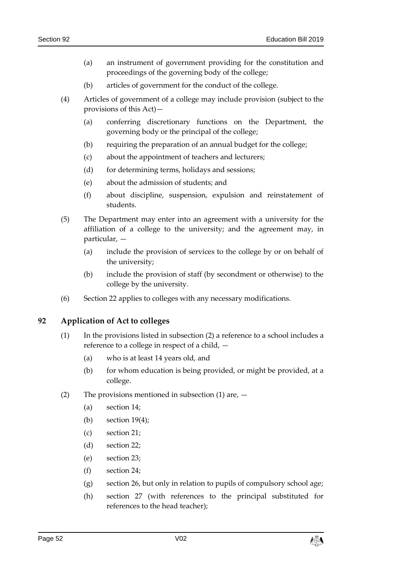- (a) an instrument of government providing for the constitution and proceedings of the governing body of the college;
- (b) articles of government for the conduct of the college.
- (4) Articles of government of a college may include provision (subject to the provisions of this Act)—
	- (a) conferring discretionary functions on the Department, the governing body or the principal of the college;
	- (b) requiring the preparation of an annual budget for the college;
	- (c) about the appointment of teachers and lecturers;
	- (d) for determining terms, holidays and sessions;
	- (e) about the admission of students; and
	- (f) about discipline, suspension, expulsion and reinstatement of students.
- (5) The Department may enter into an agreement with a university for the affiliation of a college to the university; and the agreement may, in particular, —
	- (a) include the provision of services to the college by or on behalf of the university;
	- (b) include the provision of staff (by secondment or otherwise) to the college by the university.
- (6) Section [22](#page-17-0) applies to colleges with any necessary modifications.

## **92 Application of Act to colleges**

- (1) In the provisions listed in subsection (2) a reference to a school includes a reference to a college in respect of a child, —
	- (a) who is at least 14 years old, and
	- (b) for whom education is being provided, or might be provided, at a college.
- (2) The provisions mentioned in subsection  $(1)$  are,  $-$ 
	- (a) section [14;](#page-13-1)
	- (b) section  $19(4)$ ;
	- (c) section [21;](#page-16-1)
	- (d) section [22;](#page-17-0)
	- (e) section [23;](#page-18-0)
	- (f) section [24;](#page-18-1)
	- (g) section [26,](#page-18-2) but only in relation to pupils of compulsory school age;
	- (h) section [27](#page-19-0) (with references to the principal substituted for references to the head teacher);

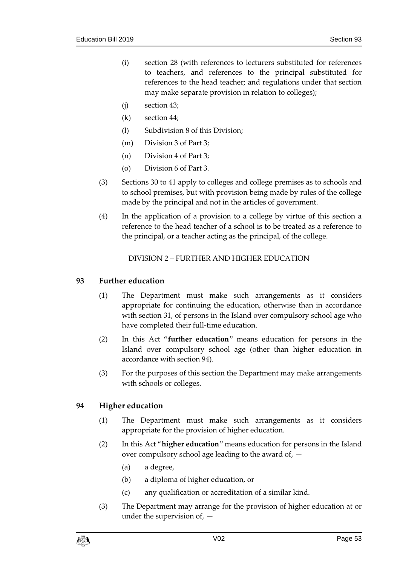- (i) section [28](#page-19-1) (with references to lecturers substituted for references to teachers, and references to the principal substituted for references to the head teacher; and regulations under that section may make separate provision in relation to colleges);
- (j) section [43;](#page-26-0)
- (k) section [44;](#page-27-0)
- (l) Subdivision 8 of this Division;
- (m) Division 3 of Part 3;
- (n) Division 4 of Part 3;
- (o) Division 6 of Part 3.
- (3) Sections [30](#page-21-0) to [41](#page-25-0) apply to colleges and college premises as to schools and to school premises, but with provision being made by rules of the college made by the principal and not in the articles of government.
- (4) In the application of a provision to a college by virtue of this section a reference to the head teacher of a school is to be treated as a reference to the principal, or a teacher acting as the principal, of the college.

DIVISION 2 – FURTHER AND HIGHER EDUCATION

## **93 Further education**

- (1) The Department must make such arrangements as it considers appropriate for continuing the education, otherwise than in accordance with section [31,](#page-21-1) of persons in the Island over compulsory school age who have completed their full-time education.
- (2) In this Act "**further education**" means education for persons in the Island over compulsory school age (other than higher education in accordance with section [94\)](#page-52-0).
- (3) For the purposes of this section the Department may make arrangements with schools or colleges.

## <span id="page-52-0"></span>**94 Higher education**

- (1) The Department must make such arrangements as it considers appropriate for the provision of higher education.
- (2) In this Act "**higher education**" means education for persons in the Island over compulsory school age leading to the award of, —
	- (a) a degree,
	- (b) a diploma of higher education, or
	- (c) any qualification or accreditation of a similar kind.
- (3) The Department may arrange for the provision of higher education at or under the supervision of, —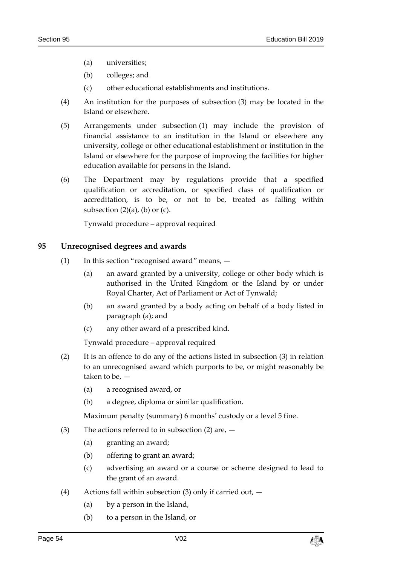- (a) universities;
- (b) colleges; and
- (c) other educational establishments and institutions.
- (4) An institution for the purposes of subsection (3) may be located in the Island or elsewhere.
- (5) Arrangements under subsection (1) may include the provision of financial assistance to an institution in the Island or elsewhere any university, college or other educational establishment or institution in the Island or elsewhere for the purpose of improving the facilities for higher education available for persons in the Island.
- (6) The Department may by regulations provide that a specified qualification or accreditation, or specified class of qualification or accreditation, is to be, or not to be, treated as falling within subsection  $(2)(a)$ ,  $(b)$  or  $(c)$ .

Tynwald procedure – approval required

## <span id="page-53-0"></span>**95 Unrecognised degrees and awards**

- (1) In this section "recognised award" means,
	- (a) an award granted by a university, college or other body which is authorised in the United Kingdom or the Island by or under Royal Charter, Act of Parliament or Act of Tynwald;
	- (b) an award granted by a body acting on behalf of a body listed in paragraph (a); and
	- (c) any other award of a prescribed kind.

Tynwald procedure – approval required

- (2) It is an offence to do any of the actions listed in subsection (3) in relation to an unrecognised award which purports to be, or might reasonably be taken to be, —
	- (a) a recognised award, or
	- (b) a degree, diploma or similar qualification.

Maximum penalty (summary) 6 months' custody or a level 5 fine.

- (3) The actions referred to in subsection (2) are,
	- (a) granting an award;
	- (b) offering to grant an award;
	- (c) advertising an award or a course or scheme designed to lead to the grant of an award.
- (4) Actions fall within subsection (3) only if carried out,
	- (a) by a person in the Island,
	- (b) to a person in the Island, or

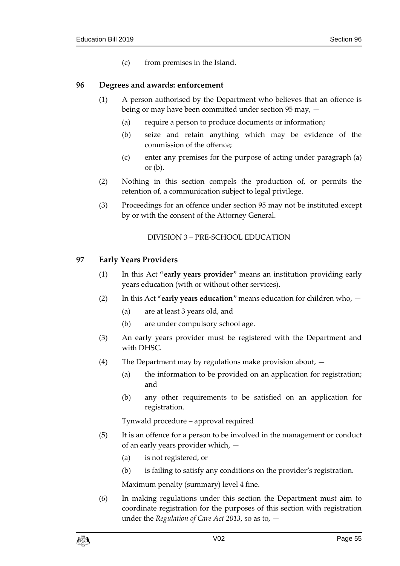(c) from premises in the Island.

#### **96 Degrees and awards: enforcement**

- (1) A person authorised by the Department who believes that an offence is being or may have been committed under section [95](#page-53-0) may, —
	- (a) require a person to produce documents or information;
	- (b) seize and retain anything which may be evidence of the commission of the offence;
	- (c) enter any premises for the purpose of acting under paragraph (a) or (b).
- (2) Nothing in this section compels the production of, or permits the retention of, a communication subject to legal privilege.
- (3) Proceedings for an offence under section [95](#page-53-0) may not be instituted except by or with the consent of the Attorney General.

#### DIVISION 3 – PRE-SCHOOL EDUCATION

#### **97 Early Years Providers**

- (1) In this Act "**early years provider**" means an institution providing early years education (with or without other services).
- (2) In this Act "**early years education**" means education for children who,
	- (a) are at least 3 years old, and
	- (b) are under compulsory school age.
- (3) An early years provider must be registered with the Department and with DHSC.
- (4) The Department may by regulations make provision about,
	- (a) the information to be provided on an application for registration; and
	- (b) any other requirements to be satisfied on an application for registration.

Tynwald procedure – approval required

- (5) It is an offence for a person to be involved in the management or conduct of an early years provider which, —
	- (a) is not registered, or
	- (b) is failing to satisfy any conditions on the provider's registration.

Maximum penalty (summary) level 4 fine.

(6) In making regulations under this section the Department must aim to coordinate registration for the purposes of this section with registration under the *Regulation of Care Act 2013*, so as to, —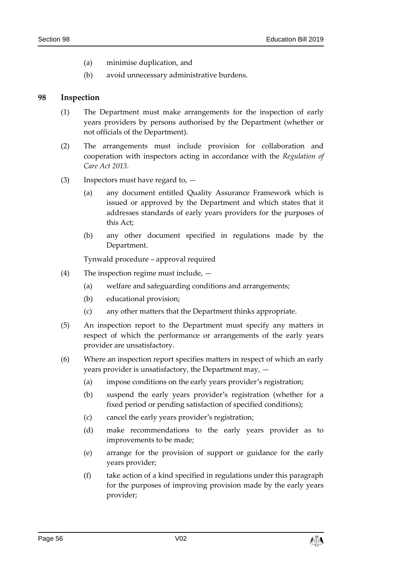- (a) minimise duplication, and
- (b) avoid unnecessary administrative burdens.

#### **98 Inspection**

- (1) The Department must make arrangements for the inspection of early years providers by persons authorised by the Department (whether or not officials of the Department).
- (2) The arrangements must include provision for collaboration and cooperation with inspectors acting in accordance with the *Regulation of Care Act 2013*.
- (3) Inspectors must have regard to,
	- (a) any document entitled Quality Assurance Framework which is issued or approved by the Department and which states that it addresses standards of early years providers for the purposes of this Act;
	- (b) any other document specified in regulations made by the Department.

- (4) The inspection regime must include,
	- (a) welfare and safeguarding conditions and arrangements;
	- (b) educational provision;
	- (c) any other matters that the Department thinks appropriate.
- (5) An inspection report to the Department must specify any matters in respect of which the performance or arrangements of the early years provider are unsatisfactory.
- (6) Where an inspection report specifies matters in respect of which an early years provider is unsatisfactory, the Department may, —
	- (a) impose conditions on the early years provider's registration;
	- (b) suspend the early years provider's registration (whether for a fixed period or pending satisfaction of specified conditions);
	- (c) cancel the early years provider's registration;
	- (d) make recommendations to the early years provider as to improvements to be made;
	- (e) arrange for the provision of support or guidance for the early years provider;
	- (f) take action of a kind specified in regulations under this paragraph for the purposes of improving provision made by the early years provider;

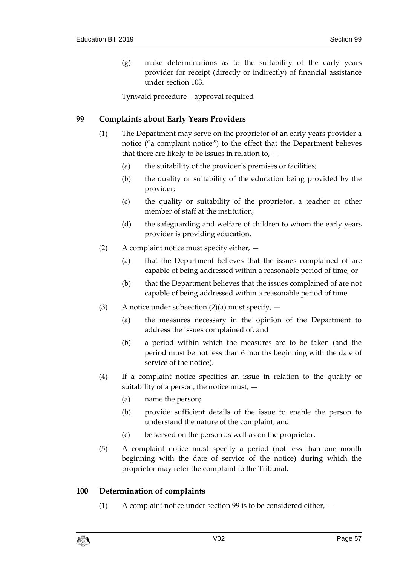(g) make determinations as to the suitability of the early years provider for receipt (directly or indirectly) of financial assistance under section [103.](#page-58-0)

Tynwald procedure – approval required

# <span id="page-56-0"></span>**99 Complaints about Early Years Providers**

- (1) The Department may serve on the proprietor of an early years provider a notice ("a complaint notice") to the effect that the Department believes that there are likely to be issues in relation to,  $-$ 
	- (a) the suitability of the provider's premises or facilities;
	- (b) the quality or suitability of the education being provided by the provider;
	- (c) the quality or suitability of the proprietor, a teacher or other member of staff at the institution;
	- (d) the safeguarding and welfare of children to whom the early years provider is providing education.
- (2) A complaint notice must specify either,
	- (a) that the Department believes that the issues complained of are capable of being addressed within a reasonable period of time, or
	- (b) that the Department believes that the issues complained of are not capable of being addressed within a reasonable period of time.
- (3) A notice under subsection  $(2)(a)$  must specify,  $-$ 
	- (a) the measures necessary in the opinion of the Department to address the issues complained of, and
	- (b) a period within which the measures are to be taken (and the period must be not less than 6 months beginning with the date of service of the notice).
- (4) If a complaint notice specifies an issue in relation to the quality or suitability of a person, the notice must,  $-$ 
	- (a) name the person;
	- (b) provide sufficient details of the issue to enable the person to understand the nature of the complaint; and
	- (c) be served on the person as well as on the proprietor.
- (5) A complaint notice must specify a period (not less than one month beginning with the date of service of the notice) during which the proprietor may refer the complaint to the Tribunal.

## <span id="page-56-1"></span>**100 Determination of complaints**

(1) A complaint notice under section [99](#page-56-0) is to be considered either, —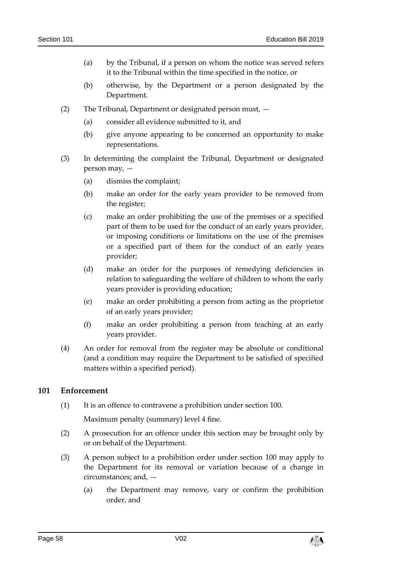- (a) by the Tribunal, if a person on whom the notice was served refers it to the Tribunal within the time specified in the notice, or
- (b) otherwise, by the Department or a person designated by the Department.
- (2) The Tribunal, Department or designated person must,
	- (a) consider all evidence submitted to it, and
	- (b) give anyone appearing to be concerned an opportunity to make representations.
- (3) In determining the complaint the Tribunal, Department or designated person may, —
	- (a) dismiss the complaint;
	- (b) make an order for the early years provider to be removed from the register;
	- (c) make an order prohibiting the use of the premises or a specified part of them to be used for the conduct of an early years provider, or imposing conditions or limitations on the use of the premises or a specified part of them for the conduct of an early years provider;
	- (d) make an order for the purposes of remedying deficiencies in relation to safeguarding the welfare of children to whom the early years provider is providing education;
	- (e) make an order prohibiting a person from acting as the proprietor of an early years provider;
	- (f) make an order prohibiting a person from teaching at an early years provider.
- (4) An order for removal from the register may be absolute or conditional (and a condition may require the Department to be satisfied of specified matters within a specified period).

## **101 Enforcement**

(1) It is an offence to contravene a prohibition under section [100.](#page-56-1)

Maximum penalty (summary) level 4 fine.

- (2) A prosecution for an offence under this section may be brought only by or on behalf of the Department.
- (3) A person subject to a prohibition order under section [100](#page-56-1) may apply to the Department for its removal or variation because of a change in circumstances; and, —
	- (a) the Department may remove, vary or confirm the prohibition order, and

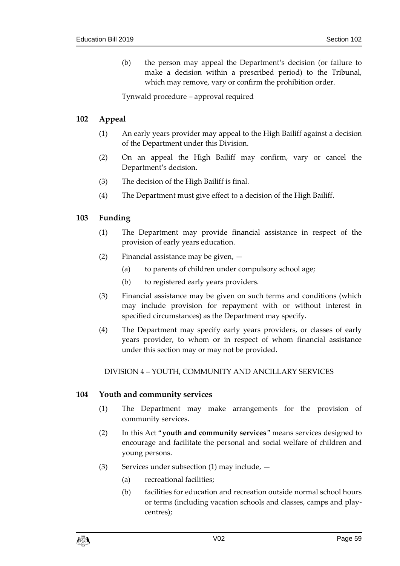(b) the person may appeal the Department's decision (or failure to make a decision within a prescribed period) to the Tribunal, which may remove, vary or confirm the prohibition order.

Tynwald procedure – approval required

# **102 Appeal**

- (1) An early years provider may appeal to the High Bailiff against a decision of the Department under this Division.
- (2) On an appeal the High Bailiff may confirm, vary or cancel the Department's decision.
- (3) The decision of the High Bailiff is final.
- (4) The Department must give effect to a decision of the High Bailiff.

# <span id="page-58-0"></span>**103 Funding**

- (1) The Department may provide financial assistance in respect of the provision of early years education.
- (2) Financial assistance may be given,
	- (a) to parents of children under compulsory school age;
	- (b) to registered early years providers.
- (3) Financial assistance may be given on such terms and conditions (which may include provision for repayment with or without interest in specified circumstances) as the Department may specify.
- (4) The Department may specify early years providers, or classes of early years provider, to whom or in respect of whom financial assistance under this section may or may not be provided.

DIVISION 4 – YOUTH, COMMUNITY AND ANCILLARY SERVICES

## **104 Youth and community services**

- (1) The Department may make arrangements for the provision of community services.
- (2) In this Act "**youth and community services**" means services designed to encourage and facilitate the personal and social welfare of children and young persons.
- (3) Services under subsection (1) may include,  $-$ 
	- (a) recreational facilities;
	- (b) facilities for education and recreation outside normal school hours or terms (including vacation schools and classes, camps and playcentres);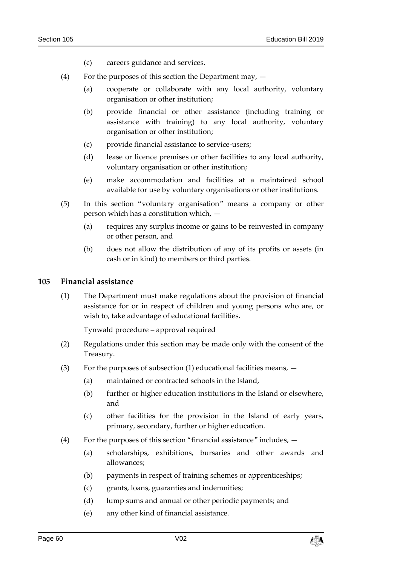- (c) careers guidance and services.
- (4) For the purposes of this section the Department may,
	- (a) cooperate or collaborate with any local authority, voluntary organisation or other institution;
	- (b) provide financial or other assistance (including training or assistance with training) to any local authority, voluntary organisation or other institution;
	- (c) provide financial assistance to service-users;
	- (d) lease or licence premises or other facilities to any local authority, voluntary organisation or other institution;
	- (e) make accommodation and facilities at a maintained school available for use by voluntary organisations or other institutions.
- (5) In this section "voluntary organisation" means a company or other person which has a constitution which, —
	- (a) requires any surplus income or gains to be reinvested in company or other person, and
	- (b) does not allow the distribution of any of its profits or assets (in cash or in kind) to members or third parties.

#### **105 Financial assistance**

(1) The Department must make regulations about the provision of financial assistance for or in respect of children and young persons who are, or wish to, take advantage of educational facilities.

- (2) Regulations under this section may be made only with the consent of the Treasury.
- (3) For the purposes of subsection (1) educational facilities means,  $-$ 
	- (a) maintained or contracted schools in the Island,
	- (b) further or higher education institutions in the Island or elsewhere, and
	- (c) other facilities for the provision in the Island of early years, primary, secondary, further or higher education.
- (4) For the purposes of this section "financial assistance" includes,
	- (a) scholarships, exhibitions, bursaries and other awards and allowances;
	- (b) payments in respect of training schemes or apprenticeships;
	- (c) grants, loans, guaranties and indemnities;
	- (d) lump sums and annual or other periodic payments; and
	- (e) any other kind of financial assistance.

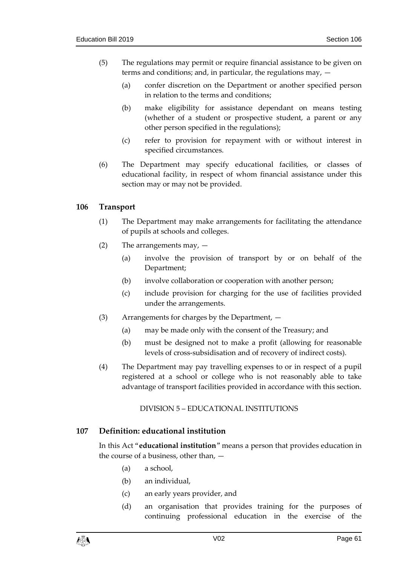- (5) The regulations may permit or require financial assistance to be given on terms and conditions; and, in particular, the regulations may, —
	- (a) confer discretion on the Department or another specified person in relation to the terms and conditions;
	- (b) make eligibility for assistance dependant on means testing (whether of a student or prospective student, a parent or any other person specified in the regulations);
	- (c) refer to provision for repayment with or without interest in specified circumstances.
- (6) The Department may specify educational facilities, or classes of educational facility, in respect of whom financial assistance under this section may or may not be provided.

## **106 Transport**

- (1) The Department may make arrangements for facilitating the attendance of pupils at schools and colleges.
- (2) The arrangements may,
	- (a) involve the provision of transport by or on behalf of the Department;
	- (b) involve collaboration or cooperation with another person;
	- (c) include provision for charging for the use of facilities provided under the arrangements.
- (3) Arrangements for charges by the Department,
	- (a) may be made only with the consent of the Treasury; and
	- (b) must be designed not to make a profit (allowing for reasonable levels of cross-subsidisation and of recovery of indirect costs).
- (4) The Department may pay travelling expenses to or in respect of a pupil registered at a school or college who is not reasonably able to take advantage of transport facilities provided in accordance with this section.

#### DIVISION 5 – EDUCATIONAL INSTITUTIONS

## **107 Definition: educational institution**

In this Act "**educational institution**" means a person that provides education in the course of a business, other than, —

- (a) a school,
- (b) an individual,
- (c) an early years provider, and
- (d) an organisation that provides training for the purposes of continuing professional education in the exercise of the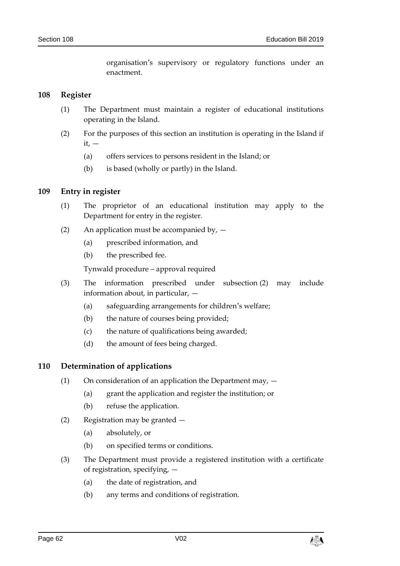organisation's supervisory or regulatory functions under an enactment.

#### **108 Register**

- (1) The Department must maintain a register of educational institutions operating in the Island.
- (2) For the purposes of this section an institution is operating in the Island if  $it.$   $-$ 
	- (a) offers services to persons resident in the Island; or
	- (b) is based (wholly or partly) in the Island.

#### **109 Entry in register**

- (1) The proprietor of an educational institution may apply to the Department for entry in the register.
- (2) An application must be accompanied by,
	- (a) prescribed information, and
	- (b) the prescribed fee.

Tynwald procedure – approval required

- (3) The information prescribed under subsection (2) may include information about, in particular, —
	- (a) safeguarding arrangements for children's welfare;
	- (b) the nature of courses being provided;
	- (c) the nature of qualifications being awarded;
	- (d) the amount of fees being charged.

#### **110 Determination of applications**

- (1) On consideration of an application the Department may,  $-$ 
	- (a) grant the application and register the institution; or
	- (b) refuse the application.
- (2) Registration may be granted
	- (a) absolutely, or
	- (b) on specified terms or conditions.
- (3) The Department must provide a registered institution with a certificate of registration, specifying, —
	- (a) the date of registration, and
	- (b) any terms and conditions of registration.

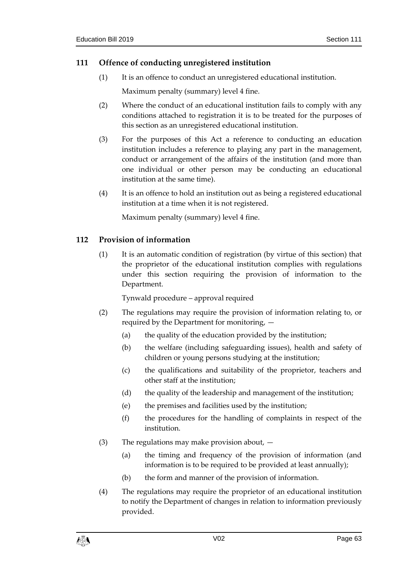# **111 Offence of conducting unregistered institution**

(1) It is an offence to conduct an unregistered educational institution.

Maximum penalty (summary) level 4 fine.

- (2) Where the conduct of an educational institution fails to comply with any conditions attached to registration it is to be treated for the purposes of this section as an unregistered educational institution.
- (3) For the purposes of this Act a reference to conducting an education institution includes a reference to playing any part in the management, conduct or arrangement of the affairs of the institution (and more than one individual or other person may be conducting an educational institution at the same time).
- (4) It is an offence to hold an institution out as being a registered educational institution at a time when it is not registered.

Maximum penalty (summary) level 4 fine.

## <span id="page-62-0"></span>**112 Provision of information**

(1) It is an automatic condition of registration (by virtue of this section) that the proprietor of the educational institution complies with regulations under this section requiring the provision of information to the Department.

- (2) The regulations may require the provision of information relating to, or required by the Department for monitoring, —
	- (a) the quality of the education provided by the institution;
	- (b) the welfare (including safeguarding issues), health and safety of children or young persons studying at the institution;
	- (c) the qualifications and suitability of the proprietor, teachers and other staff at the institution;
	- (d) the quality of the leadership and management of the institution;
	- (e) the premises and facilities used by the institution;
	- (f) the procedures for the handling of complaints in respect of the institution.
- (3) The regulations may make provision about,
	- (a) the timing and frequency of the provision of information (and information is to be required to be provided at least annually);
	- (b) the form and manner of the provision of information.
- (4) The regulations may require the proprietor of an educational institution to notify the Department of changes in relation to information previously provided.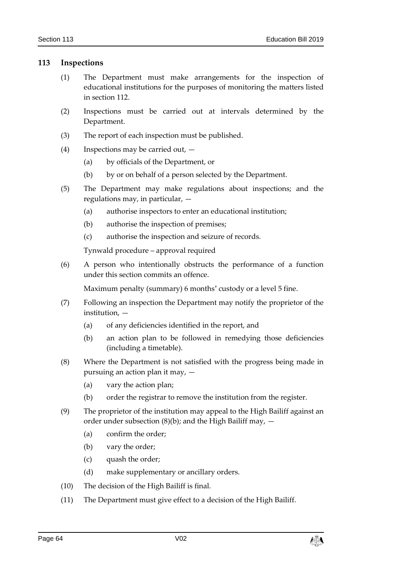## **113 Inspections**

- (1) The Department must make arrangements for the inspection of educational institutions for the purposes of monitoring the matters listed in section [112.](#page-62-0)
- (2) Inspections must be carried out at intervals determined by the Department.
- (3) The report of each inspection must be published.
- (4) Inspections may be carried out,
	- (a) by officials of the Department, or
	- (b) by or on behalf of a person selected by the Department.
- (5) The Department may make regulations about inspections; and the regulations may, in particular, —
	- (a) authorise inspectors to enter an educational institution;
	- (b) authorise the inspection of premises;
	- (c) authorise the inspection and seizure of records.

Tynwald procedure – approval required

(6) A person who intentionally obstructs the performance of a function under this section commits an offence.

Maximum penalty (summary) 6 months' custody or a level 5 fine.

- (7) Following an inspection the Department may notify the proprietor of the institution, —
	- (a) of any deficiencies identified in the report, and
	- (b) an action plan to be followed in remedying those deficiencies (including a timetable).
- (8) Where the Department is not satisfied with the progress being made in pursuing an action plan it may, —
	- (a) vary the action plan;
	- (b) order the registrar to remove the institution from the register.
- (9) The proprietor of the institution may appeal to the High Bailiff against an order under subsection  $(8)(b)$ ; and the High Bailiff may,  $-$ 
	- (a) confirm the order;
	- (b) vary the order;
	- (c) quash the order;
	- (d) make supplementary or ancillary orders.
- (10) The decision of the High Bailiff is final.
- (11) The Department must give effect to a decision of the High Bailiff.

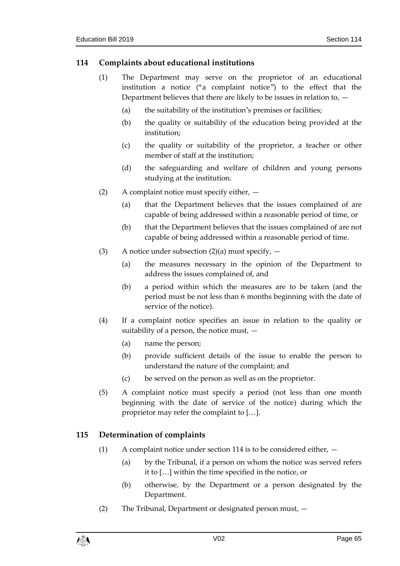# <span id="page-64-0"></span>**114 Complaints about educational institutions**

- (1) The Department may serve on the proprietor of an educational institution a notice ("a complaint notice") to the effect that the Department believes that there are likely to be issues in relation to,  $-$ 
	- (a) the suitability of the institution's premises or facilities;
	- (b) the quality or suitability of the education being provided at the institution;
	- (c) the quality or suitability of the proprietor, a teacher or other member of staff at the institution;
	- (d) the safeguarding and welfare of children and young persons studying at the institution.
- (2) A complaint notice must specify either,
	- (a) that the Department believes that the issues complained of are capable of being addressed within a reasonable period of time, or
	- (b) that the Department believes that the issues complained of are not capable of being addressed within a reasonable period of time.
- (3) A notice under subsection (2)(a) must specify,  $-$ 
	- (a) the measures necessary in the opinion of the Department to address the issues complained of, and
	- (b) a period within which the measures are to be taken (and the period must be not less than 6 months beginning with the date of service of the notice).
- (4) If a complaint notice specifies an issue in relation to the quality or suitability of a person, the notice must,  $-$ 
	- (a) name the person;
	- (b) provide sufficient details of the issue to enable the person to understand the nature of the complaint; and
	- (c) be served on the person as well as on the proprietor.
- (5) A complaint notice must specify a period (not less than one month beginning with the date of service of the notice) during which the proprietor may refer the complaint to […].

# <span id="page-64-1"></span>**115 Determination of complaints**

- (1) A complaint notice under section [114](#page-64-0) is to be considered either,
	- (a) by the Tribunal, if a person on whom the notice was served refers it to […] within the time specified in the notice, or
	- (b) otherwise, by the Department or a person designated by the Department.
- (2) The Tribunal, Department or designated person must, —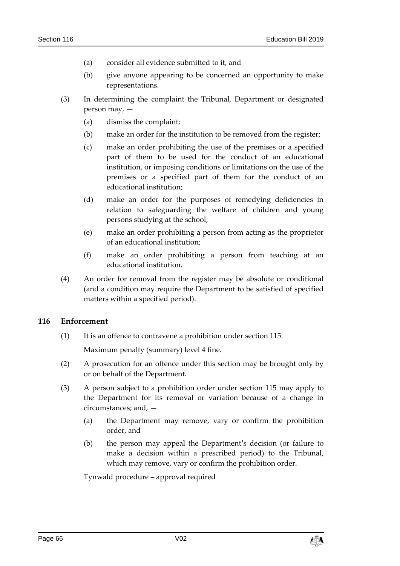- (a) consider all evidence submitted to it, and
- (b) give anyone appearing to be concerned an opportunity to make representations.
- (3) In determining the complaint the Tribunal, Department or designated person may, —
	- (a) dismiss the complaint;
	- (b) make an order for the institution to be removed from the register;
	- (c) make an order prohibiting the use of the premises or a specified part of them to be used for the conduct of an educational institution, or imposing conditions or limitations on the use of the premises or a specified part of them for the conduct of an educational institution;
	- (d) make an order for the purposes of remedying deficiencies in relation to safeguarding the welfare of children and young persons studying at the school;
	- (e) make an order prohibiting a person from acting as the proprietor of an educational institution;
	- (f) make an order prohibiting a person from teaching at an educational institution.
- (4) An order for removal from the register may be absolute or conditional (and a condition may require the Department to be satisfied of specified matters within a specified period).

## **116 Enforcement**

(1) It is an offence to contravene a prohibition under section [115.](#page-64-1)

Maximum penalty (summary) level 4 fine.

- (2) A prosecution for an offence under this section may be brought only by or on behalf of the Department.
- (3) A person subject to a prohibition order under section [115](#page-64-1) may apply to the Department for its removal or variation because of a change in circumstances; and, —
	- (a) the Department may remove, vary or confirm the prohibition order, and
	- (b) the person may appeal the Department's decision (or failure to make a decision within a prescribed period) to the Tribunal, which may remove, vary or confirm the prohibition order.

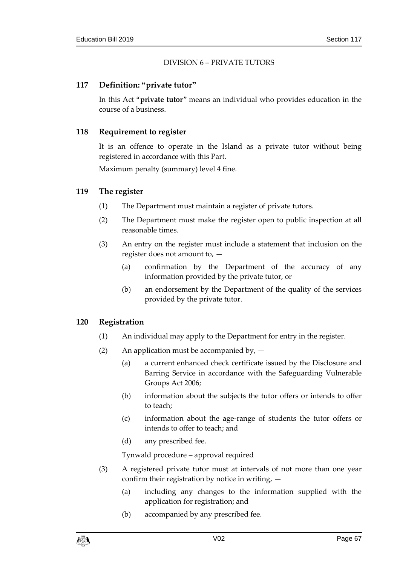#### DIVISION 6 – PRIVATE TUTORS

## **117 Definition: "private tutor"**

In this Act "**private tutor**" means an individual who provides education in the course of a business.

#### **118 Requirement to register**

It is an offence to operate in the Island as a private tutor without being registered in accordance with this Part.

Maximum penalty (summary) level 4 fine.

#### **119 The register**

- (1) The Department must maintain a register of private tutors.
- (2) The Department must make the register open to public inspection at all reasonable times.
- (3) An entry on the register must include a statement that inclusion on the register does not amount to, —
	- (a) confirmation by the Department of the accuracy of any information provided by the private tutor, or
	- (b) an endorsement by the Department of the quality of the services provided by the private tutor.

## **120 Registration**

- (1) An individual may apply to the Department for entry in the register.
- (2) An application must be accompanied by,  $-$ 
	- (a) a current enhanced check certificate issued by the Disclosure and Barring Service in accordance with the Safeguarding Vulnerable Groups Act 2006;
	- (b) information about the subjects the tutor offers or intends to offer to teach;
	- (c) information about the age-range of students the tutor offers or intends to offer to teach; and
	- (d) any prescribed fee.

- (3) A registered private tutor must at intervals of not more than one year confirm their registration by notice in writing, —
	- (a) including any changes to the information supplied with the application for registration; and
	- (b) accompanied by any prescribed fee.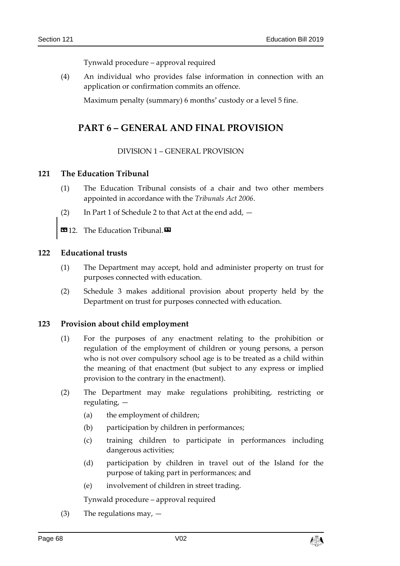Tynwald procedure – approval required

(4) An individual who provides false information in connection with an application or confirmation commits an offence.

Maximum penalty (summary) 6 months' custody or a level 5 fine.

# **PART 6 – GENERAL AND FINAL PROVISION**

## DIVISION 1 – GENERAL PROVISION

## **121 The Education Tribunal**

- (1) The Education Tribunal consists of a chair and two other members appointed in accordance with the *Tribunals Act 2006*.
- (2) In Part 1 of Schedule 2 to that Act at the end add, —
- **1312.** The Education Tribunal.

## **122 Educational trusts**

- (1) The Department may accept, hold and administer property on trust for purposes connected with education.
- (2) Schedule 3 makes additional provision about property held by the Department on trust for purposes connected with education.

## **123 Provision about child employment**

- (1) For the purposes of any enactment relating to the prohibition or regulation of the employment of children or young persons, a person who is not over compulsory school age is to be treated as a child within the meaning of that enactment (but subject to any express or implied provision to the contrary in the enactment).
- (2) The Department may make regulations prohibiting, restricting or regulating, —
	- (a) the employment of children;
	- (b) participation by children in performances;
	- (c) training children to participate in performances including dangerous activities;
	- (d) participation by children in travel out of the Island for the purpose of taking part in performances; and
	- (e) involvement of children in street trading.

Tynwald procedure – approval required

(3) The regulations may,  $-$ 

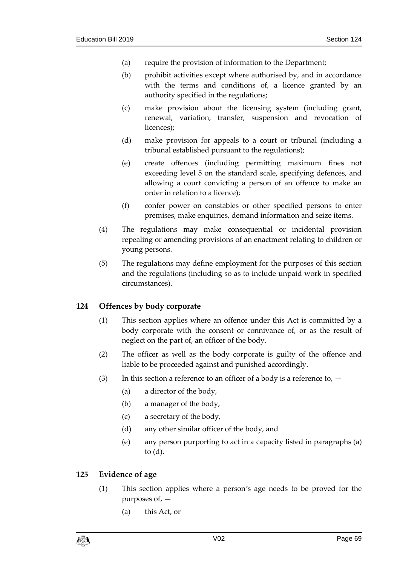- (a) require the provision of information to the Department;
- (b) prohibit activities except where authorised by, and in accordance with the terms and conditions of, a licence granted by an authority specified in the regulations;
- (c) make provision about the licensing system (including grant, renewal, variation, transfer, suspension and revocation of licences);
- (d) make provision for appeals to a court or tribunal (including a tribunal established pursuant to the regulations);
- (e) create offences (including permitting maximum fines not exceeding level 5 on the standard scale, specifying defences, and allowing a court convicting a person of an offence to make an order in relation to a licence);
- (f) confer power on constables or other specified persons to enter premises, make enquiries, demand information and seize items.
- (4) The regulations may make consequential or incidental provision repealing or amending provisions of an enactment relating to children or young persons.
- (5) The regulations may define employment for the purposes of this section and the regulations (including so as to include unpaid work in specified circumstances).

## **124 Offences by body corporate**

- (1) This section applies where an offence under this Act is committed by a body corporate with the consent or connivance of, or as the result of neglect on the part of, an officer of the body.
- (2) The officer as well as the body corporate is guilty of the offence and liable to be proceeded against and punished accordingly.
- (3) In this section a reference to an officer of a body is a reference to,  $-$ 
	- (a) a director of the body,
	- (b) a manager of the body,
	- (c) a secretary of the body,
	- (d) any other similar officer of the body, and
	- (e) any person purporting to act in a capacity listed in paragraphs (a) to (d).

## **125 Evidence of age**

- (1) This section applies where a person's age needs to be proved for the purposes of, —
	- (a) this Act, or

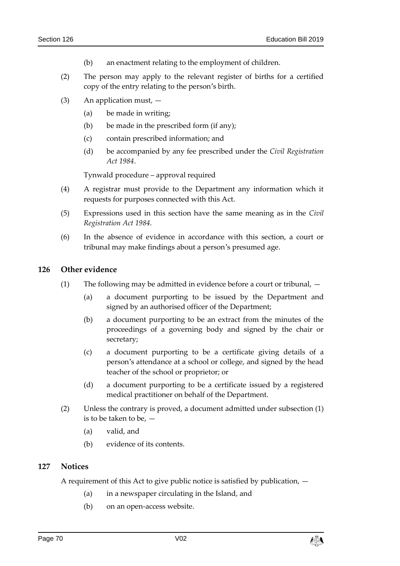- (b) an enactment relating to the employment of children.
- (2) The person may apply to the relevant register of births for a certified copy of the entry relating to the person's birth.
- (3) An application must,
	- (a) be made in writing;
	- (b) be made in the prescribed form (if any);
	- (c) contain prescribed information; and
	- (d) be accompanied by any fee prescribed under the *Civil Registration Act 1984*.

Tynwald procedure – approval required

- (4) A registrar must provide to the Department any information which it requests for purposes connected with this Act.
- (5) Expressions used in this section have the same meaning as in the *Civil Registration Act 1984*.
- (6) In the absence of evidence in accordance with this section, a court or tribunal may make findings about a person's presumed age.

#### **126 Other evidence**

- (1) The following may be admitted in evidence before a court or tribunal,
	- (a) a document purporting to be issued by the Department and signed by an authorised officer of the Department;
	- (b) a document purporting to be an extract from the minutes of the proceedings of a governing body and signed by the chair or secretary;
	- (c) a document purporting to be a certificate giving details of a person's attendance at a school or college, and signed by the head teacher of the school or proprietor; or
	- (d) a document purporting to be a certificate issued by a registered medical practitioner on behalf of the Department.
- (2) Unless the contrary is proved, a document admitted under subsection (1) is to be taken to be,  $-$ 
	- (a) valid, and
	- (b) evidence of its contents.

## **127 Notices**

A requirement of this Act to give public notice is satisfied by publication, —

- (a) in a newspaper circulating in the Island, and
- (b) on an open-access website.

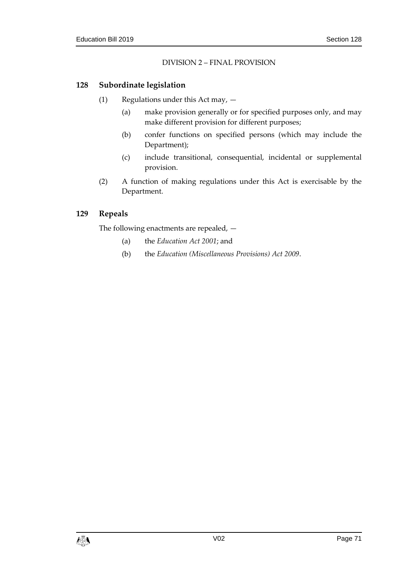# DIVISION 2 – FINAL PROVISION

# **128 Subordinate legislation**

- (1) Regulations under this Act may,
	- (a) make provision generally or for specified purposes only, and may make different provision for different purposes;
	- (b) confer functions on specified persons (which may include the Department);
	- (c) include transitional, consequential, incidental or supplemental provision.
- (2) A function of making regulations under this Act is exercisable by the Department.

# **129 Repeals**

The following enactments are repealed, —

- (a) the *Education Act 2001*; and
- (b) the *Education (Miscellaneous Provisions) Act 2009*.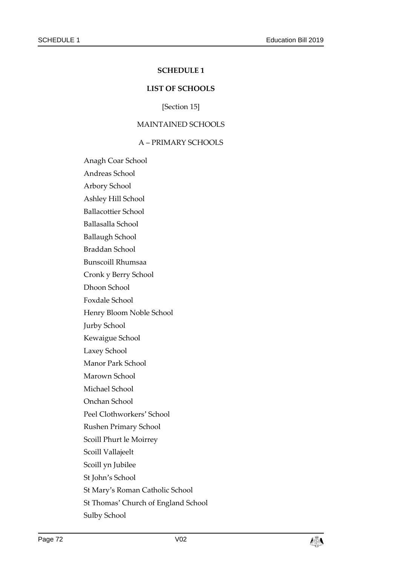#### **SCHEDULE 1**

#### **LIST OF SCHOOLS**

[Section [15\]](#page-13-0)

#### MAINTAINED SCHOOLS

#### A – PRIMARY SCHOOLS

Anagh Coar School

Andreas School

Arbory School

Ashley Hill School

Ballacottier School

Ballasalla School

Ballaugh School

Braddan School

Bunscoill Rhumsaa

Cronk y Berry School

Dhoon School

Foxdale School

Henry Bloom Noble School

Jurby School

Kewaigue School

Laxey School

Manor Park School

Marown School

Michael School

Onchan School

Peel Clothworkers' School

Rushen Primary School

Scoill Phurt le Moirrey

Scoill Vallajeelt

Scoill yn Jubilee

St John's School

St Mary's Roman Catholic School

St Thomas' Church of England School

Sulby School

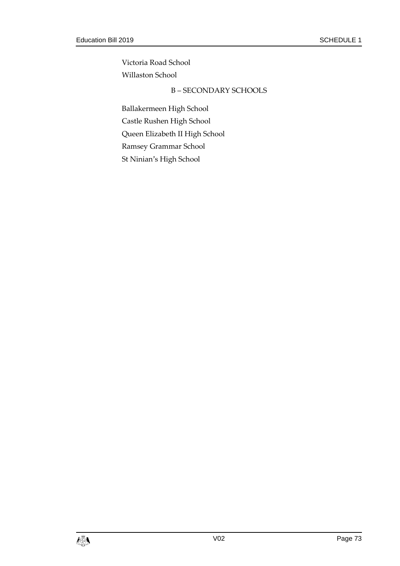Victoria Road School Willaston School

# B – SECONDARY SCHOOLS

Ballakermeen High School Castle Rushen High School Queen Elizabeth II High School Ramsey Grammar School St Ninian's High School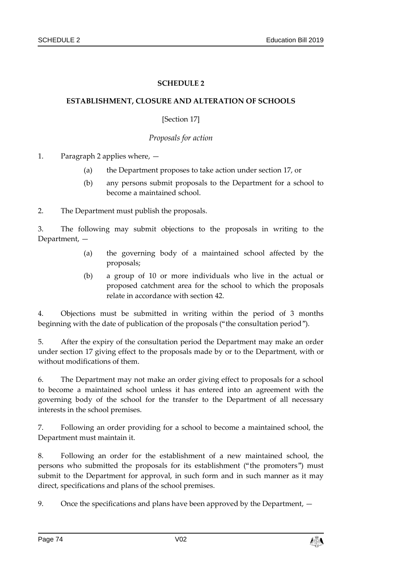# **SCHEDULE 2**

### **ESTABLISHMENT, CLOSURE AND ALTERATION OF SCHOOLS**

## [Section [17\]](#page-14-0)

## *Proposals for action*

1. Paragraph 2 applies where, —

- (a) the Department proposes to take action under section [17,](#page-14-0) or
- (b) any persons submit proposals to the Department for a school to become a maintained school.

2. The Department must publish the proposals.

3. The following may submit objections to the proposals in writing to the Department, —

- (a) the governing body of a maintained school affected by the proposals;
- (b) a group of 10 or more individuals who live in the actual or proposed catchment area for the school to which the proposals relate in accordance with section [42.](#page-26-0)

4. Objections must be submitted in writing within the period of 3 months beginning with the date of publication of the proposals ("the consultation period").

5. After the expiry of the consultation period the Department may make an order under section [17](#page-14-0) giving effect to the proposals made by or to the Department, with or without modifications of them.

6. The Department may not make an order giving effect to proposals for a school to become a maintained school unless it has entered into an agreement with the governing body of the school for the transfer to the Department of all necessary interests in the school premises.

7. Following an order providing for a school to become a maintained school, the Department must maintain it.

8. Following an order for the establishment of a new maintained school, the persons who submitted the proposals for its establishment ("the promoters") must submit to the Department for approval, in such form and in such manner as it may direct, specifications and plans of the school premises.

9. Once the specifications and plans have been approved by the Department, —

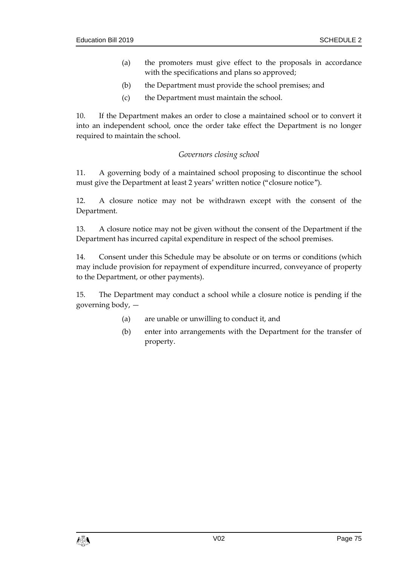- (a) the promoters must give effect to the proposals in accordance with the specifications and plans so approved;
- (b) the Department must provide the school premises; and
- (c) the Department must maintain the school.

10. If the Department makes an order to close a maintained school or to convert it into an independent school, once the order take effect the Department is no longer required to maintain the school.

# *Governors closing school*

11. A governing body of a maintained school proposing to discontinue the school must give the Department at least 2 years' written notice ("closure notice").

12. A closure notice may not be withdrawn except with the consent of the Department.

13. A closure notice may not be given without the consent of the Department if the Department has incurred capital expenditure in respect of the school premises.

14. Consent under this Schedule may be absolute or on terms or conditions (which may include provision for repayment of expenditure incurred, conveyance of property to the Department, or other payments).

15. The Department may conduct a school while a closure notice is pending if the governing body, —

- (a) are unable or unwilling to conduct it, and
- (b) enter into arrangements with the Department for the transfer of property.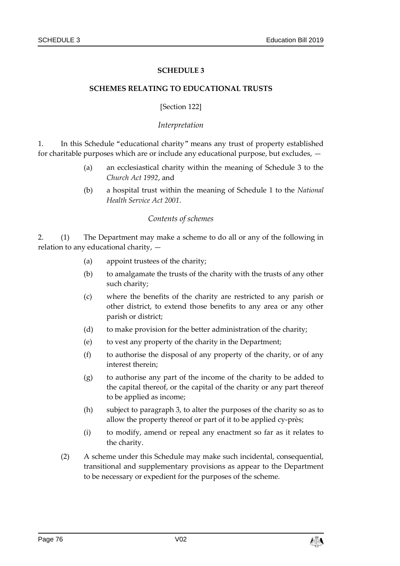### **SCHEDULE 3**

#### **SCHEMES RELATING TO EDUCATIONAL TRUSTS**

#### [Section [122\]](#page-67-0)

### *Interpretation*

1. In this Schedule "educational charity" means any trust of property established for charitable purposes which are or include any educational purpose, but excludes, —

- (a) an ecclesiastical charity within the meaning of Schedule 3 to the *Church Act 1992*, and
- (b) a hospital trust within the meaning of Schedule 1 to the *National Health Service Act 2001*.

#### *Contents of schemes*

2. (1) The Department may make a scheme to do all or any of the following in relation to any educational charity, —

- (a) appoint trustees of the charity;
- (b) to amalgamate the trusts of the charity with the trusts of any other such charity;
- (c) where the benefits of the charity are restricted to any parish or other district, to extend those benefits to any area or any other parish or district;
- (d) to make provision for the better administration of the charity;
- (e) to vest any property of the charity in the Department;
- (f) to authorise the disposal of any property of the charity, or of any interest therein;
- (g) to authorise any part of the income of the charity to be added to the capital thereof, or the capital of the charity or any part thereof to be applied as income;
- (h) subject to paragraph 3, to alter the purposes of the charity so as to allow the property thereof or part of it to be applied cy-près;
- (i) to modify, amend or repeal any enactment so far as it relates to the charity.
- (2) A scheme under this Schedule may make such incidental, consequential, transitional and supplementary provisions as appear to the Department to be necessary or expedient for the purposes of the scheme.

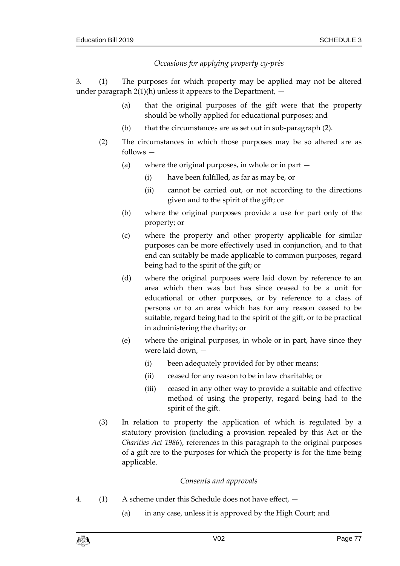# *Occasions for applying property cy-près*

3. (1) The purposes for which property may be applied may not be altered under paragraph  $2(1)(h)$  unless it appears to the Department,  $-$ 

- (a) that the original purposes of the gift were that the property should be wholly applied for educational purposes; and
- (b) that the circumstances are as set out in sub-paragraph (2).
- (2) The circumstances in which those purposes may be so altered are as follows —
	- (a) where the original purposes, in whole or in part
		- (i) have been fulfilled, as far as may be, or
		- (ii) cannot be carried out, or not according to the directions given and to the spirit of the gift; or
	- (b) where the original purposes provide a use for part only of the property; or
	- (c) where the property and other property applicable for similar purposes can be more effectively used in conjunction, and to that end can suitably be made applicable to common purposes, regard being had to the spirit of the gift; or
	- (d) where the original purposes were laid down by reference to an area which then was but has since ceased to be a unit for educational or other purposes, or by reference to a class of persons or to an area which has for any reason ceased to be suitable, regard being had to the spirit of the gift, or to be practical in administering the charity; or
	- (e) where the original purposes, in whole or in part, have since they were laid down, —
		- (i) been adequately provided for by other means;
		- (ii) ceased for any reason to be in law charitable; or
		- (iii) ceased in any other way to provide a suitable and effective method of using the property, regard being had to the spirit of the gift.
- (3) In relation to property the application of which is regulated by a statutory provision (including a provision repealed by this Act or the *Charities Act 1986*), references in this paragraph to the original purposes of a gift are to the purposes for which the property is for the time being applicable.

## *Consents and approvals*

- 4. (1) A scheme under this Schedule does not have effect,
	- (a) in any case, unless it is approved by the High Court; and